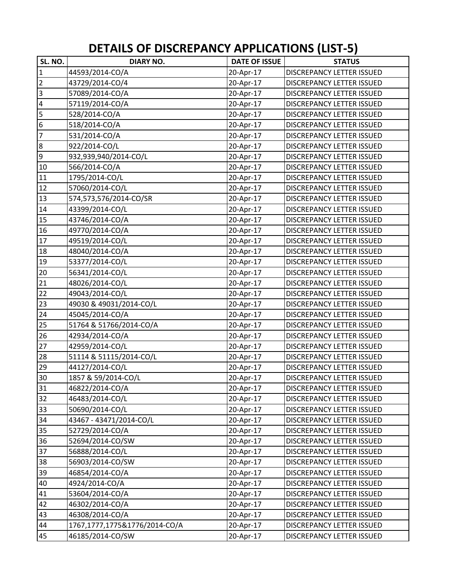| SL. NO.                 | <b>DIARY NO.</b>              | <b>DATE OF ISSUE</b> | <b>STATUS</b>                    |
|-------------------------|-------------------------------|----------------------|----------------------------------|
| $\overline{1}$          | 44593/2014-CO/A               | 20-Apr-17            | DISCREPANCY LETTER ISSUED        |
| $\overline{2}$          | 43729/2014-CO/4               | 20-Apr-17            | DISCREPANCY LETTER ISSUED        |
| $\overline{3}$          | 57089/2014-CO/A               | 20-Apr-17            | DISCREPANCY LETTER ISSUED        |
| $\overline{4}$          | 57119/2014-CO/A               | 20-Apr-17            | DISCREPANCY LETTER ISSUED        |
| $\overline{\mathbf{5}}$ | 528/2014-CO/A                 | 20-Apr-17            | DISCREPANCY LETTER ISSUED        |
| $\overline{6}$          | 518/2014-CO/A                 | 20-Apr-17            | DISCREPANCY LETTER ISSUED        |
| $\overline{7}$          | 531/2014-CO/A                 | 20-Apr-17            | DISCREPANCY LETTER ISSUED        |
| $\infty$                | 922/2014-CO/L                 | 20-Apr-17            | DISCREPANCY LETTER ISSUED        |
| $\overline{9}$          | 932,939,940/2014-CO/L         | 20-Apr-17            | <b>DISCREPANCY LETTER ISSUED</b> |
| 10                      | 566/2014-CO/A                 | 20-Apr-17            | DISCREPANCY LETTER ISSUED        |
| 11                      | 1795/2014-CO/L                | 20-Apr-17            | DISCREPANCY LETTER ISSUED        |
| 12                      | 57060/2014-CO/L               | 20-Apr-17            | DISCREPANCY LETTER ISSUED        |
| 13                      | 574,573,576/2014-CO/SR        | 20-Apr-17            | DISCREPANCY LETTER ISSUED        |
| 14                      | 43399/2014-CO/L               | 20-Apr-17            | DISCREPANCY LETTER ISSUED        |
| 15                      | 43746/2014-CO/A               | 20-Apr-17            | DISCREPANCY LETTER ISSUED        |
| 16                      | 49770/2014-CO/A               | 20-Apr-17            | DISCREPANCY LETTER ISSUED        |
| 17                      | 49519/2014-CO/L               | 20-Apr-17            | <b>DISCREPANCY LETTER ISSUED</b> |
| 18                      | 48040/2014-CO/A               | 20-Apr-17            | DISCREPANCY LETTER ISSUED        |
| 19                      | 53377/2014-CO/L               | 20-Apr-17            | DISCREPANCY LETTER ISSUED        |
| 20                      | 56341/2014-CO/L               | 20-Apr-17            | DISCREPANCY LETTER ISSUED        |
| 21                      | 48026/2014-CO/L               | 20-Apr-17            | DISCREPANCY LETTER ISSUED        |
| 22                      | 49043/2014-CO/L               | 20-Apr-17            | DISCREPANCY LETTER ISSUED        |
| 23                      | 49030 & 49031/2014-CO/L       | 20-Apr-17            | DISCREPANCY LETTER ISSUED        |
| 24                      | 45045/2014-CO/A               | 20-Apr-17            | DISCREPANCY LETTER ISSUED        |
| 25                      | 51764 & 51766/2014-CO/A       | 20-Apr-17            | DISCREPANCY LETTER ISSUED        |
| 26                      | 42934/2014-CO/A               | 20-Apr-17            | DISCREPANCY LETTER ISSUED        |
| 27                      | 42959/2014-CO/L               | 20-Apr-17            | <b>DISCREPANCY LETTER ISSUED</b> |
| 28                      | 51114 & 51115/2014-CO/L       | 20-Apr-17            | DISCREPANCY LETTER ISSUED        |
| 29                      | 44127/2014-CO/L               | 20-Apr-17            | DISCREPANCY LETTER ISSUED        |
| 30                      | 1857 & 59/2014-CO/L           | 20-Apr-17            | <b>DISCREPANCY LETTER ISSUED</b> |
| 31                      | 46822/2014-CO/A               | 20-Apr-17            | DISCREPANCY LETTER ISSUED        |
| 32                      | 46483/2014-CO/L               | 20-Apr-17            | DISCREPANCY LETTER ISSUED        |
| 33                      | 50690/2014-CO/L               | 20-Apr-17            | DISCREPANCY LETTER ISSUED        |
| 34                      | 43467 - 43471/2014-CO/L       | 20-Apr-17            | DISCREPANCY LETTER ISSUED        |
| 35                      | 52729/2014-CO/A               | 20-Apr-17            | DISCREPANCY LETTER ISSUED        |
| 36                      | 52694/2014-CO/SW              | 20-Apr-17            | DISCREPANCY LETTER ISSUED        |
| 37                      | 56888/2014-CO/L               | 20-Apr-17            | DISCREPANCY LETTER ISSUED        |
| 38                      | 56903/2014-CO/SW              | 20-Apr-17            | DISCREPANCY LETTER ISSUED        |
| 39                      | 46854/2014-CO/A               | 20-Apr-17            | DISCREPANCY LETTER ISSUED        |
| 40                      | 4924/2014-CO/A                | 20-Apr-17            | DISCREPANCY LETTER ISSUED        |
| 41                      | 53604/2014-CO/A               | 20-Apr-17            | DISCREPANCY LETTER ISSUED        |
| 42                      | 46302/2014-CO/A               | 20-Apr-17            | DISCREPANCY LETTER ISSUED        |
| 43                      | 46308/2014-CO/A               | 20-Apr-17            | DISCREPANCY LETTER ISSUED        |
| 44                      | 1767,1777,1775&1776/2014-CO/A | 20-Apr-17            | DISCREPANCY LETTER ISSUED        |
| 45                      | 46185/2014-CO/SW              | 20-Apr-17            | DISCREPANCY LETTER ISSUED        |

**DETAILS OF DISCREPANCY APPLICATIONS (LIST‐5)**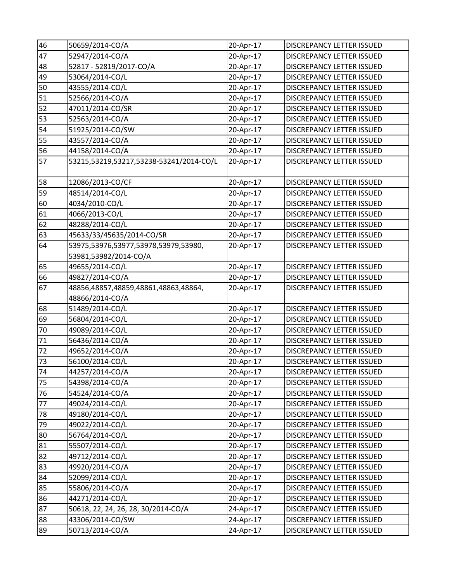| 46       | 50659/2014-CO/A                         | 20-Apr-17 | DISCREPANCY LETTER ISSUED        |
|----------|-----------------------------------------|-----------|----------------------------------|
| 47       | 52947/2014-CO/A                         | 20-Apr-17 | DISCREPANCY LETTER ISSUED        |
| 48       | 52817 - 52819/2017-CO/A                 | 20-Apr-17 | DISCREPANCY LETTER ISSUED        |
| 49       | 53064/2014-CO/L                         | 20-Apr-17 | DISCREPANCY LETTER ISSUED        |
| 50       | 43555/2014-CO/L                         | 20-Apr-17 | DISCREPANCY LETTER ISSUED        |
| 51       | 52566/2014-CO/A                         | 20-Apr-17 | DISCREPANCY LETTER ISSUED        |
| 52       | 47011/2014-CO/SR                        | 20-Apr-17 | DISCREPANCY LETTER ISSUED        |
| 53       | 52563/2014-CO/A                         | 20-Apr-17 | <b>DISCREPANCY LETTER ISSUED</b> |
| 54       | 51925/2014-CO/SW                        | 20-Apr-17 | <b>DISCREPANCY LETTER ISSUED</b> |
| 55       | 43557/2014-CO/A                         | 20-Apr-17 | DISCREPANCY LETTER ISSUED        |
| 56       | 44158/2014-CO/A                         | 20-Apr-17 | DISCREPANCY LETTER ISSUED        |
| 57       | 53215,53219,53217,53238-53241/2014-CO/L | 20-Apr-17 | DISCREPANCY LETTER ISSUED        |
| 58       | 12086/2013-CO/CF                        | 20-Apr-17 | DISCREPANCY LETTER ISSUED        |
| 59       | 48514/2014-CO/L                         | 20-Apr-17 | DISCREPANCY LETTER ISSUED        |
| 60       | 4034/2010-CO/L                          | 20-Apr-17 | DISCREPANCY LETTER ISSUED        |
| 61       | 4066/2013-CO/L                          | 20-Apr-17 | DISCREPANCY LETTER ISSUED        |
| 62       | 48288/2014-CO/L                         | 20-Apr-17 | DISCREPANCY LETTER ISSUED        |
| 63       | 45633/33/45635/2014-CO/SR               | 20-Apr-17 | DISCREPANCY LETTER ISSUED        |
| 64       | 53975,53976,53977,53978,53979,53980,    | 20-Apr-17 | DISCREPANCY LETTER ISSUED        |
|          | 53981,53982/2014-CO/A                   |           |                                  |
| 65       | 49655/2014-CO/L                         | 20-Apr-17 | DISCREPANCY LETTER ISSUED        |
| 66       | 49827/2014-CO/A                         | 20-Apr-17 | DISCREPANCY LETTER ISSUED        |
| 67       | 48856,48857,48859,48861,48863,48864,    | 20-Apr-17 | DISCREPANCY LETTER ISSUED        |
|          | 48866/2014-CO/A                         |           |                                  |
| 68       | 51489/2014-CO/L                         | 20-Apr-17 | DISCREPANCY LETTER ISSUED        |
| 69       | 56804/2014-CO/L                         | 20-Apr-17 | DISCREPANCY LETTER ISSUED        |
| 70       | 49089/2014-CO/L                         | 20-Apr-17 | DISCREPANCY LETTER ISSUED        |
| 71       | 56436/2014-CO/A                         | 20-Apr-17 | DISCREPANCY LETTER ISSUED        |
| 72       | 49652/2014-CO/A                         | 20-Apr-17 | DISCREPANCY LETTER ISSUED        |
| 73       | 56100/2014-CO/L                         | 20-Apr-17 | DISCREPANCY LETTER ISSUED        |
| 74       | 44257/2014-CO/A                         | 20-Apr-17 | <b>DISCREPANCY LETTER ISSUED</b> |
| 75       | 54398/2014-CO/A                         | 20-Apr-17 | DISCREPANCY LETTER ISSUED        |
| 76       | 54524/2014-CO/A                         | 20-Apr-17 | DISCREPANCY LETTER ISSUED        |
| 77       | 49024/2014-CO/L                         | 20-Apr-17 | DISCREPANCY LETTER ISSUED        |
| 78       | 49180/2014-CO/L                         | 20-Apr-17 | DISCREPANCY LETTER ISSUED        |
| 79       | 49022/2014-CO/L                         | 20-Apr-17 | DISCREPANCY LETTER ISSUED        |
| 80       | 56764/2014-CO/L                         | 20-Apr-17 | DISCREPANCY LETTER ISSUED        |
| 81       | 55507/2014-CO/L                         | 20-Apr-17 | DISCREPANCY LETTER ISSUED        |
| 82       | 49712/2014-CO/L                         | 20-Apr-17 | DISCREPANCY LETTER ISSUED        |
| 83<br>84 | 49920/2014-CO/A                         | 20-Apr-17 | DISCREPANCY LETTER ISSUED        |
|          | 52099/2014-CO/L                         | 20-Apr-17 | DISCREPANCY LETTER ISSUED        |
| 85       | 55806/2014-CO/A                         | 20-Apr-17 | DISCREPANCY LETTER ISSUED        |
| 86       | 44271/2014-CO/L                         | 20-Apr-17 | DISCREPANCY LETTER ISSUED        |
| 87       | 50618, 22, 24, 26, 28, 30/2014-CO/A     | 24-Apr-17 | DISCREPANCY LETTER ISSUED        |
| 88       | 43306/2014-CO/SW                        | 24-Apr-17 | DISCREPANCY LETTER ISSUED        |
| 89       | 50713/2014-CO/A                         | 24-Apr-17 | DISCREPANCY LETTER ISSUED        |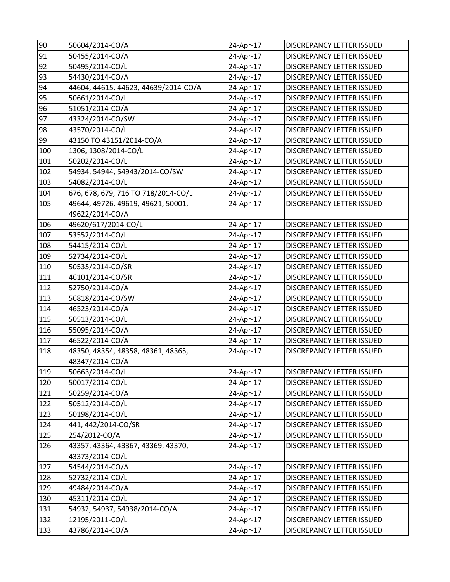| 90  | 50604/2014-CO/A                      | 24-Apr-17 | <b>DISCREPANCY LETTER ISSUED</b> |
|-----|--------------------------------------|-----------|----------------------------------|
| 91  | 50455/2014-CO/A                      | 24-Apr-17 | DISCREPANCY LETTER ISSUED        |
| 92  | 50495/2014-CO/L                      | 24-Apr-17 | DISCREPANCY LETTER ISSUED        |
| 93  | 54430/2014-CO/A                      | 24-Apr-17 | DISCREPANCY LETTER ISSUED        |
| 94  | 44604, 44615, 44623, 44639/2014-CO/A | 24-Apr-17 | DISCREPANCY LETTER ISSUED        |
| 95  | 50661/2014-CO/L                      | 24-Apr-17 | DISCREPANCY LETTER ISSUED        |
| 96  | 51051/2014-CO/A                      | 24-Apr-17 | DISCREPANCY LETTER ISSUED        |
| 97  | 43324/2014-CO/SW                     | 24-Apr-17 | DISCREPANCY LETTER ISSUED        |
| 98  | 43570/2014-CO/L                      | 24-Apr-17 | DISCREPANCY LETTER ISSUED        |
| 99  | 43150 TO 43151/2014-CO/A             | 24-Apr-17 | DISCREPANCY LETTER ISSUED        |
| 100 | 1306, 1308/2014-CO/L                 | 24-Apr-17 | DISCREPANCY LETTER ISSUED        |
| 101 | 50202/2014-CO/L                      | 24-Apr-17 | DISCREPANCY LETTER ISSUED        |
| 102 | 54934, 54944, 54943/2014-CO/SW       | 24-Apr-17 | DISCREPANCY LETTER ISSUED        |
| 103 | 54082/2014-CO/L                      | 24-Apr-17 | DISCREPANCY LETTER ISSUED        |
| 104 | 676, 678, 679, 716 TO 718/2014-CO/L  | 24-Apr-17 | DISCREPANCY LETTER ISSUED        |
| 105 | 49644, 49726, 49619, 49621, 50001,   | 24-Apr-17 | DISCREPANCY LETTER ISSUED        |
|     | 49622/2014-CO/A                      |           |                                  |
| 106 | 49620/617/2014-CO/L                  | 24-Apr-17 | DISCREPANCY LETTER ISSUED        |
| 107 | 53552/2014-CO/L                      | 24-Apr-17 | DISCREPANCY LETTER ISSUED        |
| 108 | 54415/2014-CO/L                      | 24-Apr-17 | DISCREPANCY LETTER ISSUED        |
| 109 | 52734/2014-CO/L                      | 24-Apr-17 | DISCREPANCY LETTER ISSUED        |
| 110 | 50535/2014-CO/SR                     | 24-Apr-17 | DISCREPANCY LETTER ISSUED        |
| 111 | 46101/2014-CO/SR                     | 24-Apr-17 | DISCREPANCY LETTER ISSUED        |
| 112 | 52750/2014-CO/A                      | 24-Apr-17 | DISCREPANCY LETTER ISSUED        |
| 113 | 56818/2014-CO/SW                     | 24-Apr-17 | DISCREPANCY LETTER ISSUED        |
| 114 | 46523/2014-CO/A                      | 24-Apr-17 | DISCREPANCY LETTER ISSUED        |
| 115 | 50513/2014-CO/L                      | 24-Apr-17 | DISCREPANCY LETTER ISSUED        |
| 116 | 55095/2014-CO/A                      | 24-Apr-17 | DISCREPANCY LETTER ISSUED        |
| 117 | 46522/2014-CO/A                      | 24-Apr-17 | DISCREPANCY LETTER ISSUED        |
| 118 | 48350, 48354, 48358, 48361, 48365,   | 24-Apr-17 | DISCREPANCY LETTER ISSUED        |
|     | 48347/2014-CO/A                      |           |                                  |
| 119 | 50663/2014-CO/L                      | 24-Apr-17 | DISCREPANCY LETTER ISSUED        |
| 120 | 50017/2014-CO/L                      | 24-Apr-17 | DISCREPANCY LETTER ISSUED        |
| 121 | 50259/2014-CO/A                      | 24-Apr-17 | DISCREPANCY LETTER ISSUED        |
| 122 | 50512/2014-CO/L                      | 24-Apr-17 | DISCREPANCY LETTER ISSUED        |
| 123 | 50198/2014-CO/L                      | 24-Apr-17 | DISCREPANCY LETTER ISSUED        |
| 124 | 441, 442/2014-CO/SR                  | 24-Apr-17 | DISCREPANCY LETTER ISSUED        |
| 125 | 254/2012-CO/A                        | 24-Apr-17 | DISCREPANCY LETTER ISSUED        |
| 126 | 43357, 43364, 43367, 43369, 43370,   | 24-Apr-17 | DISCREPANCY LETTER ISSUED        |
|     | 43373/2014-CO/L                      |           |                                  |
| 127 | 54544/2014-CO/A                      | 24-Apr-17 | DISCREPANCY LETTER ISSUED        |
| 128 | 52732/2014-CO/L                      | 24-Apr-17 | DISCREPANCY LETTER ISSUED        |
| 129 | 49484/2014-CO/A                      | 24-Apr-17 | DISCREPANCY LETTER ISSUED        |
| 130 | 45311/2014-CO/L                      | 24-Apr-17 | DISCREPANCY LETTER ISSUED        |
| 131 | 54932, 54937, 54938/2014-CO/A        | 24-Apr-17 | <b>DISCREPANCY LETTER ISSUED</b> |
| 132 | 12195/2011-CO/L                      | 24-Apr-17 | DISCREPANCY LETTER ISSUED        |
| 133 | 43786/2014-CO/A                      | 24-Apr-17 | DISCREPANCY LETTER ISSUED        |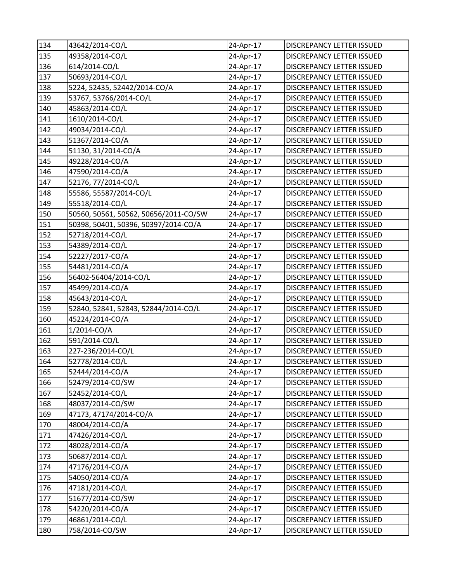| 134 | 43642/2014-CO/L                       | 24-Apr-17               | DISCREPANCY LETTER ISSUED        |
|-----|---------------------------------------|-------------------------|----------------------------------|
| 135 | 49358/2014-CO/L                       | 24-Apr-17               | DISCREPANCY LETTER ISSUED        |
| 136 | 614/2014-CO/L                         | 24-Apr-17               | DISCREPANCY LETTER ISSUED        |
| 137 | 50693/2014-CO/L                       | 24-Apr-17               | DISCREPANCY LETTER ISSUED        |
| 138 | 5224, 52435, 52442/2014-CO/A          | 24-Apr-17               | DISCREPANCY LETTER ISSUED        |
| 139 | 53767, 53766/2014-CO/L                | 24-Apr-17               | DISCREPANCY LETTER ISSUED        |
| 140 | 45863/2014-CO/L                       | 24-Apr-17               | DISCREPANCY LETTER ISSUED        |
| 141 | 1610/2014-CO/L                        | 24-Apr-17               | DISCREPANCY LETTER ISSUED        |
| 142 | 49034/2014-CO/L                       | 24-Apr-17               | DISCREPANCY LETTER ISSUED        |
| 143 | 51367/2014-CO/A                       | 24-Apr-17               | DISCREPANCY LETTER ISSUED        |
| 144 | 51130, 31/2014-CO/A                   | 24-Apr-17               | DISCREPANCY LETTER ISSUED        |
| 145 | 49228/2014-CO/A                       | 24-Apr-17               | DISCREPANCY LETTER ISSUED        |
| 146 | 47590/2014-CO/A                       | 24-Apr-17               | DISCREPANCY LETTER ISSUED        |
| 147 | 52176, 77/2014-CO/L                   | 24-Apr-17               | DISCREPANCY LETTER ISSUED        |
| 148 | 55586, 55587/2014-CO/L                | 24-Apr-17               | DISCREPANCY LETTER ISSUED        |
| 149 | 55518/2014-CO/L                       | 24-Apr-17               | DISCREPANCY LETTER ISSUED        |
| 150 | 50560, 50561, 50562, 50656/2011-CO/SW | 24-Apr-17               | DISCREPANCY LETTER ISSUED        |
| 151 | 50398, 50401, 50396, 50397/2014-CO/A  | 24-Apr-17               | DISCREPANCY LETTER ISSUED        |
| 152 | 52718/2014-CO/L                       | 24-Apr-17               | DISCREPANCY LETTER ISSUED        |
| 153 | 54389/2014-CO/L                       | 24-Apr-17               | DISCREPANCY LETTER ISSUED        |
| 154 | 52227/2017-CO/A                       | 24-Apr-17               | DISCREPANCY LETTER ISSUED        |
| 155 | 54481/2014-CO/A                       | 24-Apr-17               | DISCREPANCY LETTER ISSUED        |
| 156 | 56402-56404/2014-CO/L                 | 24-Apr-17               | DISCREPANCY LETTER ISSUED        |
| 157 | 45499/2014-CO/A                       | 24-Apr-17               | DISCREPANCY LETTER ISSUED        |
| 158 | 45643/2014-CO/L                       | 24-Apr-17               | DISCREPANCY LETTER ISSUED        |
| 159 | 52840, 52841, 52843, 52844/2014-CO/L  | 24-Apr-17               | DISCREPANCY LETTER ISSUED        |
| 160 | 45224/2014-CO/A                       | 24-Apr-17               | DISCREPANCY LETTER ISSUED        |
| 161 | 1/2014-CO/A                           | 24-Apr-17               | DISCREPANCY LETTER ISSUED        |
| 162 | 591/2014-CO/L                         | 24-Apr-17               | DISCREPANCY LETTER ISSUED        |
| 163 | 227-236/2014-CO/L                     | 24-Apr-17               | DISCREPANCY LETTER ISSUED        |
| 164 | 52778/2014-CO/L                       | 24-Apr-17               | DISCREPANCY LETTER ISSUED        |
| 165 | 52444/2014-CO/A                       | $\overline{2}$ 4-Apr-17 | <b>DISCREPANCY LETTER ISSUED</b> |
| 166 | 52479/2014-CO/SW                      | 24-Apr-17               | DISCREPANCY LETTER ISSUED        |
| 167 | 52452/2014-CO/L                       | 24-Apr-17               | DISCREPANCY LETTER ISSUED        |
| 168 | 48037/2014-CO/SW                      | 24-Apr-17               | DISCREPANCY LETTER ISSUED        |
| 169 | 47173, 47174/2014-CO/A                | 24-Apr-17               | DISCREPANCY LETTER ISSUED        |
| 170 | 48004/2014-CO/A                       | 24-Apr-17               | DISCREPANCY LETTER ISSUED        |
| 171 | 47426/2014-CO/L                       | 24-Apr-17               | DISCREPANCY LETTER ISSUED        |
| 172 | 48028/2014-CO/A                       | 24-Apr-17               | DISCREPANCY LETTER ISSUED        |
| 173 | 50687/2014-CO/L                       | 24-Apr-17               | DISCREPANCY LETTER ISSUED        |
| 174 | 47176/2014-CO/A                       | 24-Apr-17               | DISCREPANCY LETTER ISSUED        |
| 175 | 54050/2014-CO/A                       | 24-Apr-17               | DISCREPANCY LETTER ISSUED        |
| 176 | 47181/2014-CO/L                       | 24-Apr-17               | DISCREPANCY LETTER ISSUED        |
| 177 | 51677/2014-CO/SW                      | 24-Apr-17               | DISCREPANCY LETTER ISSUED        |
| 178 | 54220/2014-CO/A                       | 24-Apr-17               | DISCREPANCY LETTER ISSUED        |
| 179 | 46861/2014-CO/L                       | 24-Apr-17               | DISCREPANCY LETTER ISSUED        |
| 180 | 758/2014-CO/SW                        | 24-Apr-17               | DISCREPANCY LETTER ISSUED        |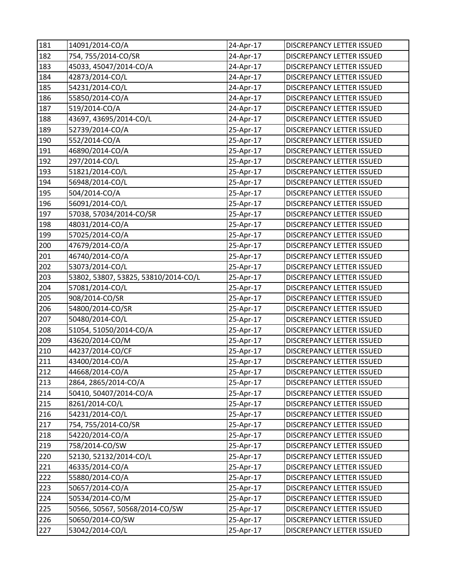| 181 | 14091/2014-CO/A                      | 24-Apr-17 | DISCREPANCY LETTER ISSUED        |
|-----|--------------------------------------|-----------|----------------------------------|
| 182 | 754, 755/2014-CO/SR                  | 24-Apr-17 | DISCREPANCY LETTER ISSUED        |
| 183 | 45033, 45047/2014-CO/A               | 24-Apr-17 | DISCREPANCY LETTER ISSUED        |
| 184 | 42873/2014-CO/L                      | 24-Apr-17 | DISCREPANCY LETTER ISSUED        |
| 185 | 54231/2014-CO/L                      | 24-Apr-17 | DISCREPANCY LETTER ISSUED        |
| 186 | 55850/2014-CO/A                      | 24-Apr-17 | DISCREPANCY LETTER ISSUED        |
| 187 | 519/2014-CO/A                        | 24-Apr-17 | DISCREPANCY LETTER ISSUED        |
| 188 | 43697, 43695/2014-CO/L               | 24-Apr-17 | DISCREPANCY LETTER ISSUED        |
| 189 | 52739/2014-CO/A                      | 25-Apr-17 | DISCREPANCY LETTER ISSUED        |
| 190 | 552/2014-CO/A                        | 25-Apr-17 | DISCREPANCY LETTER ISSUED        |
| 191 | 46890/2014-CO/A                      | 25-Apr-17 | DISCREPANCY LETTER ISSUED        |
| 192 | 297/2014-CO/L                        | 25-Apr-17 | DISCREPANCY LETTER ISSUED        |
| 193 | 51821/2014-CO/L                      | 25-Apr-17 | DISCREPANCY LETTER ISSUED        |
| 194 | 56948/2014-CO/L                      | 25-Apr-17 | DISCREPANCY LETTER ISSUED        |
| 195 | 504/2014-CO/A                        | 25-Apr-17 | DISCREPANCY LETTER ISSUED        |
| 196 | 56091/2014-CO/L                      | 25-Apr-17 | DISCREPANCY LETTER ISSUED        |
| 197 | 57038, 57034/2014-CO/SR              | 25-Apr-17 | <b>DISCREPANCY LETTER ISSUED</b> |
| 198 | 48031/2014-CO/A                      | 25-Apr-17 | DISCREPANCY LETTER ISSUED        |
| 199 | 57025/2014-CO/A                      | 25-Apr-17 | DISCREPANCY LETTER ISSUED        |
| 200 | 47679/2014-CO/A                      | 25-Apr-17 | DISCREPANCY LETTER ISSUED        |
| 201 | 46740/2014-CO/A                      | 25-Apr-17 | DISCREPANCY LETTER ISSUED        |
| 202 | 53073/2014-CO/L                      | 25-Apr-17 | DISCREPANCY LETTER ISSUED        |
| 203 | 53802, 53807, 53825, 53810/2014-CO/L | 25-Apr-17 | DISCREPANCY LETTER ISSUED        |
| 204 | 57081/2014-CO/L                      | 25-Apr-17 | DISCREPANCY LETTER ISSUED        |
| 205 | 908/2014-CO/SR                       | 25-Apr-17 | DISCREPANCY LETTER ISSUED        |
| 206 | 54800/2014-CO/SR                     | 25-Apr-17 | DISCREPANCY LETTER ISSUED        |
| 207 | 50480/2014-CO/L                      | 25-Apr-17 | DISCREPANCY LETTER ISSUED        |
| 208 | 51054, 51050/2014-CO/A               | 25-Apr-17 | DISCREPANCY LETTER ISSUED        |
| 209 | 43620/2014-CO/M                      | 25-Apr-17 | DISCREPANCY LETTER ISSUED        |
| 210 | 44237/2014-CO/CF                     | 25-Apr-17 | DISCREPANCY LETTER ISSUED        |
| 211 | 43400/2014-CO/A                      | 25-Apr-17 | <b>DISCREPANCY LETTER ISSUED</b> |
| 212 | 44668/2014-CO/A                      | 25-Apr-17 | DISCREPANCY LETTER ISSUED        |
| 213 | 2864, 2865/2014-CO/A                 | 25-Apr-17 | DISCREPANCY LETTER ISSUED        |
| 214 | 50410, 50407/2014-CO/A               | 25-Apr-17 | DISCREPANCY LETTER ISSUED        |
| 215 | 8261/2014-CO/L                       | 25-Apr-17 | DISCREPANCY LETTER ISSUED        |
| 216 | 54231/2014-CO/L                      | 25-Apr-17 | DISCREPANCY LETTER ISSUED        |
| 217 | 754, 755/2014-CO/SR                  | 25-Apr-17 | DISCREPANCY LETTER ISSUED        |
| 218 | 54220/2014-CO/A                      | 25-Apr-17 | DISCREPANCY LETTER ISSUED        |
| 219 | 758/2014-CO/SW                       | 25-Apr-17 | DISCREPANCY LETTER ISSUED        |
| 220 | 52130, 52132/2014-CO/L               | 25-Apr-17 | DISCREPANCY LETTER ISSUED        |
| 221 | 46335/2014-CO/A                      | 25-Apr-17 | DISCREPANCY LETTER ISSUED        |
| 222 | 55880/2014-CO/A                      | 25-Apr-17 | DISCREPANCY LETTER ISSUED        |
| 223 | 50657/2014-CO/A                      | 25-Apr-17 | DISCREPANCY LETTER ISSUED        |
| 224 | 50534/2014-CO/M                      | 25-Apr-17 | DISCREPANCY LETTER ISSUED        |
| 225 | 50566, 50567, 50568/2014-CO/SW       | 25-Apr-17 | DISCREPANCY LETTER ISSUED        |
| 226 | 50650/2014-CO/SW                     | 25-Apr-17 | DISCREPANCY LETTER ISSUED        |
| 227 | 53042/2014-CO/L                      | 25-Apr-17 | DISCREPANCY LETTER ISSUED        |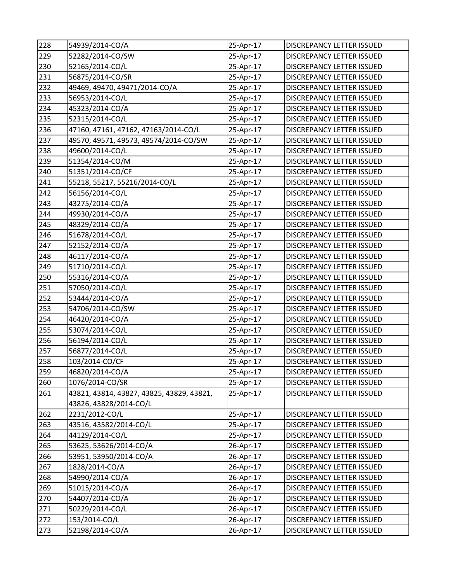| 228 | 54939/2014-CO/A                           | 25-Apr-17 | DISCREPANCY LETTER ISSUED        |
|-----|-------------------------------------------|-----------|----------------------------------|
| 229 | 52282/2014-CO/SW                          | 25-Apr-17 | DISCREPANCY LETTER ISSUED        |
| 230 | 52165/2014-CO/L                           | 25-Apr-17 | DISCREPANCY LETTER ISSUED        |
| 231 | 56875/2014-CO/SR                          | 25-Apr-17 | DISCREPANCY LETTER ISSUED        |
| 232 | 49469, 49470, 49471/2014-CO/A             | 25-Apr-17 | DISCREPANCY LETTER ISSUED        |
| 233 | 56953/2014-CO/L                           | 25-Apr-17 | DISCREPANCY LETTER ISSUED        |
| 234 | 45323/2014-CO/A                           | 25-Apr-17 | DISCREPANCY LETTER ISSUED        |
| 235 | 52315/2014-CO/L                           | 25-Apr-17 | DISCREPANCY LETTER ISSUED        |
| 236 | 47160, 47161, 47162, 47163/2014-CO/L      | 25-Apr-17 | DISCREPANCY LETTER ISSUED        |
| 237 | 49570, 49571, 49573, 49574/2014-CO/SW     | 25-Apr-17 | DISCREPANCY LETTER ISSUED        |
| 238 | 49600/2014-CO/L                           | 25-Apr-17 | DISCREPANCY LETTER ISSUED        |
| 239 | 51354/2014-CO/M                           | 25-Apr-17 | DISCREPANCY LETTER ISSUED        |
| 240 | 51351/2014-CO/CF                          | 25-Apr-17 | DISCREPANCY LETTER ISSUED        |
| 241 | 55218, 55217, 55216/2014-CO/L             | 25-Apr-17 | DISCREPANCY LETTER ISSUED        |
| 242 | 56156/2014-CO/L                           | 25-Apr-17 | DISCREPANCY LETTER ISSUED        |
| 243 | 43275/2014-CO/A                           | 25-Apr-17 | DISCREPANCY LETTER ISSUED        |
| 244 | 49930/2014-CO/A                           | 25-Apr-17 | DISCREPANCY LETTER ISSUED        |
| 245 | 48329/2014-CO/A                           | 25-Apr-17 | DISCREPANCY LETTER ISSUED        |
| 246 | 51678/2014-CO/L                           | 25-Apr-17 | DISCREPANCY LETTER ISSUED        |
| 247 | 52152/2014-CO/A                           | 25-Apr-17 | DISCREPANCY LETTER ISSUED        |
| 248 | 46117/2014-CO/A                           | 25-Apr-17 | DISCREPANCY LETTER ISSUED        |
| 249 | 51710/2014-CO/L                           | 25-Apr-17 | DISCREPANCY LETTER ISSUED        |
| 250 | 55316/2014-CO/A                           | 25-Apr-17 | DISCREPANCY LETTER ISSUED        |
| 251 | 57050/2014-CO/L                           | 25-Apr-17 | DISCREPANCY LETTER ISSUED        |
| 252 | 53444/2014-CO/A                           | 25-Apr-17 | DISCREPANCY LETTER ISSUED        |
| 253 | 54706/2014-CO/SW                          | 25-Apr-17 | DISCREPANCY LETTER ISSUED        |
| 254 | 46420/2014-CO/A                           | 25-Apr-17 | DISCREPANCY LETTER ISSUED        |
| 255 | 53074/2014-CO/L                           | 25-Apr-17 | DISCREPANCY LETTER ISSUED        |
| 256 | 56194/2014-CO/L                           | 25-Apr-17 | DISCREPANCY LETTER ISSUED        |
| 257 | 56877/2014-CO/L                           | 25-Apr-17 | DISCREPANCY LETTER ISSUED        |
| 258 | 103/2014-CO/CF                            | 25-Apr-17 | DISCREPANCY LETTER ISSUED        |
| 259 | 46820/2014-CO/A                           | 25-Apr-17 | DISCREPANCY LETTER ISSUED        |
| 260 | 1076/2014-CO/SR                           | 25-Apr-17 | DISCREPANCY LETTER ISSUED        |
| 261 | 43821, 43814, 43827, 43825, 43829, 43821, | 25-Apr-17 | DISCREPANCY LETTER ISSUED        |
|     | 43826, 43828/2014-CO/L                    |           |                                  |
| 262 | 2231/2012-CO/L                            | 25-Apr-17 | DISCREPANCY LETTER ISSUED        |
| 263 | 43516, 43582/2014-CO/L                    | 25-Apr-17 | <b>DISCREPANCY LETTER ISSUED</b> |
| 264 | 44129/2014-CO/L                           | 25-Apr-17 | DISCREPANCY LETTER ISSUED        |
| 265 | 53625, 53626/2014-CO/A                    | 26-Apr-17 | DISCREPANCY LETTER ISSUED        |
| 266 | 53951, 53950/2014-CO/A                    | 26-Apr-17 | DISCREPANCY LETTER ISSUED        |
| 267 | 1828/2014-CO/A                            | 26-Apr-17 | DISCREPANCY LETTER ISSUED        |
| 268 | 54990/2014-CO/A                           | 26-Apr-17 | DISCREPANCY LETTER ISSUED        |
| 269 | 51015/2014-CO/A                           | 26-Apr-17 | DISCREPANCY LETTER ISSUED        |
| 270 | 54407/2014-CO/A                           | 26-Apr-17 | DISCREPANCY LETTER ISSUED        |
| 271 | 50229/2014-CO/L                           | 26-Apr-17 | DISCREPANCY LETTER ISSUED        |
| 272 | 153/2014-CO/L                             | 26-Apr-17 | DISCREPANCY LETTER ISSUED        |
| 273 | 52198/2014-CO/A                           | 26-Apr-17 | DISCREPANCY LETTER ISSUED        |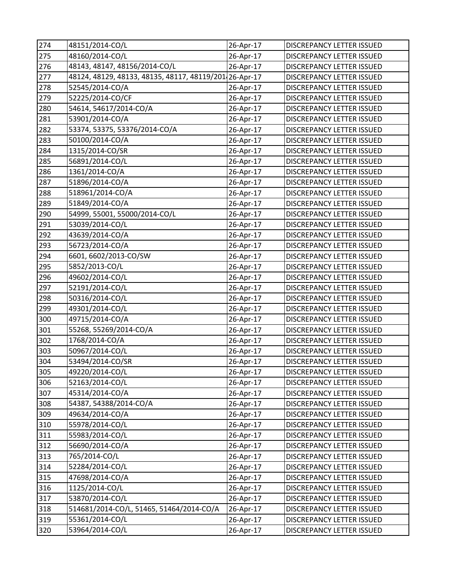| 274 | 48151/2014-CO/L                                        | 26-Apr-17    | DISCREPANCY LETTER ISSUED        |
|-----|--------------------------------------------------------|--------------|----------------------------------|
| 275 | 48160/2014-CO/L                                        | 26-Apr-17    | DISCREPANCY LETTER ISSUED        |
| 276 | 48143, 48147, 48156/2014-CO/L                          | 26-Apr-17    | DISCREPANCY LETTER ISSUED        |
| 277 | 48124, 48129, 48133, 48135, 48117, 48119/201 26-Apr-17 |              | DISCREPANCY LETTER ISSUED        |
| 278 | 52545/2014-CO/A                                        | 26-Apr-17    | DISCREPANCY LETTER ISSUED        |
| 279 | 52225/2014-CO/CF                                       | 26-Apr-17    | DISCREPANCY LETTER ISSUED        |
| 280 | 54614, 54617/2014-CO/A                                 | 26-Apr-17    | <b>DISCREPANCY LETTER ISSUED</b> |
| 281 | 53901/2014-CO/A                                        | 26-Apr-17    | DISCREPANCY LETTER ISSUED        |
| 282 | 53374, 53375, 53376/2014-CO/A                          | 26-Apr-17    | DISCREPANCY LETTER ISSUED        |
| 283 | 50100/2014-CO/A                                        | 26-Apr-17    | DISCREPANCY LETTER ISSUED        |
| 284 | 1315/2014-CO/SR                                        | 26-Apr-17    | DISCREPANCY LETTER ISSUED        |
| 285 | 56891/2014-CO/L                                        | 26-Apr-17    | DISCREPANCY LETTER ISSUED        |
| 286 | 1361/2014-CO/A                                         | 26-Apr-17    | DISCREPANCY LETTER ISSUED        |
| 287 | 51896/2014-CO/A                                        | 26-Apr-17    | DISCREPANCY LETTER ISSUED        |
| 288 | 518961/2014-CO/A                                       | 26-Apr-17    | DISCREPANCY LETTER ISSUED        |
| 289 | 51849/2014-CO/A                                        | 26-Apr-17    | DISCREPANCY LETTER ISSUED        |
| 290 | 54999, 55001, 55000/2014-CO/L                          | 26-Apr-17    | DISCREPANCY LETTER ISSUED        |
| 291 | 53039/2014-CO/L                                        | 26-Apr-17    | DISCREPANCY LETTER ISSUED        |
| 292 | 43639/2014-CO/A                                        | 26-Apr-17    | DISCREPANCY LETTER ISSUED        |
| 293 | 56723/2014-CO/A                                        | 26-Apr-17    | DISCREPANCY LETTER ISSUED        |
| 294 | 6601, 6602/2013-CO/SW                                  | 26-Apr-17    | DISCREPANCY LETTER ISSUED        |
| 295 | 5852/2013-CO/L                                         | 26-Apr-17    | DISCREPANCY LETTER ISSUED        |
| 296 | 49602/2014-CO/L                                        | 26-Apr-17    | DISCREPANCY LETTER ISSUED        |
| 297 | 52191/2014-CO/L                                        | 26-Apr-17    | DISCREPANCY LETTER ISSUED        |
| 298 | 50316/2014-CO/L                                        | 26-Apr-17    | DISCREPANCY LETTER ISSUED        |
| 299 | 49301/2014-CO/L                                        | 26-Apr-17    | DISCREPANCY LETTER ISSUED        |
| 300 | 49715/2014-CO/A                                        | 26-Apr-17    | DISCREPANCY LETTER ISSUED        |
| 301 | 55268, 55269/2014-CO/A                                 | 26-Apr-17    | DISCREPANCY LETTER ISSUED        |
| 302 | 1768/2014-CO/A                                         | 26-Apr-17    | DISCREPANCY LETTER ISSUED        |
| 303 | 50967/2014-CO/L                                        | 26-Apr-17    | DISCREPANCY LETTER ISSUED        |
| 304 | 53494/2014-CO/SR                                       | 26-Apr-17    | <b>DISCREPANCY LETTER ISSUED</b> |
| 305 | 49220/2014-CO/L                                        | $26$ -Apr-17 | <b>DISCREPANCY LETTER ISSUED</b> |
| 306 | 52163/2014-CO/L                                        | 26-Apr-17    | DISCREPANCY LETTER ISSUED        |
| 307 | 45314/2014-CO/A                                        | 26-Apr-17    | DISCREPANCY LETTER ISSUED        |
| 308 | 54387, 54388/2014-CO/A                                 | 26-Apr-17    | DISCREPANCY LETTER ISSUED        |
| 309 | 49634/2014-CO/A                                        | 26-Apr-17    | DISCREPANCY LETTER ISSUED        |
| 310 | 55978/2014-CO/L                                        | 26-Apr-17    | DISCREPANCY LETTER ISSUED        |
| 311 | 55983/2014-CO/L                                        | 26-Apr-17    | DISCREPANCY LETTER ISSUED        |
| 312 | 56690/2014-CO/A                                        | 26-Apr-17    | DISCREPANCY LETTER ISSUED        |
| 313 | 765/2014-CO/L                                          | 26-Apr-17    | DISCREPANCY LETTER ISSUED        |
| 314 | 52284/2014-CO/L                                        | 26-Apr-17    | DISCREPANCY LETTER ISSUED        |
| 315 | 47698/2014-CO/A                                        | 26-Apr-17    | DISCREPANCY LETTER ISSUED        |
| 316 | 1125/2014-CO/L                                         | 26-Apr-17    | DISCREPANCY LETTER ISSUED        |
| 317 | 53870/2014-CO/L                                        | 26-Apr-17    | DISCREPANCY LETTER ISSUED        |
| 318 | 514681/2014-CO/L, 51465, 51464/2014-CO/A               | 26-Apr-17    | DISCREPANCY LETTER ISSUED        |
| 319 | 55361/2014-CO/L                                        | 26-Apr-17    | DISCREPANCY LETTER ISSUED        |
| 320 | 53964/2014-CO/L                                        | 26-Apr-17    | DISCREPANCY LETTER ISSUED        |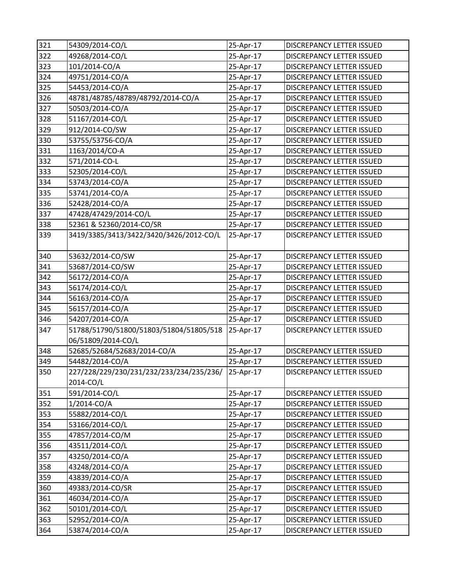| 321 | 54309/2014-CO/L                                    | 25-Apr-17 | <b>DISCREPANCY LETTER ISSUED</b> |
|-----|----------------------------------------------------|-----------|----------------------------------|
| 322 | 49268/2014-CO/L                                    | 25-Apr-17 | DISCREPANCY LETTER ISSUED        |
| 323 | 101/2014-CO/A                                      | 25-Apr-17 | DISCREPANCY LETTER ISSUED        |
| 324 | 49751/2014-CO/A                                    | 25-Apr-17 | DISCREPANCY LETTER ISSUED        |
| 325 | 54453/2014-CO/A                                    | 25-Apr-17 | DISCREPANCY LETTER ISSUED        |
| 326 | 48781/48785/48789/48792/2014-CO/A                  | 25-Apr-17 | DISCREPANCY LETTER ISSUED        |
| 327 | 50503/2014-CO/A                                    | 25-Apr-17 | DISCREPANCY LETTER ISSUED        |
| 328 | 51167/2014-CO/L                                    | 25-Apr-17 | DISCREPANCY LETTER ISSUED        |
| 329 | 912/2014-CO/SW                                     | 25-Apr-17 | DISCREPANCY LETTER ISSUED        |
| 330 | 53755/53756-CO/A                                   | 25-Apr-17 | DISCREPANCY LETTER ISSUED        |
| 331 | 1163/2014/CO-A                                     | 25-Apr-17 | DISCREPANCY LETTER ISSUED        |
| 332 | 571/2014-CO-L                                      | 25-Apr-17 | DISCREPANCY LETTER ISSUED        |
| 333 | 52305/2014-CO/L                                    | 25-Apr-17 | DISCREPANCY LETTER ISSUED        |
| 334 | 53743/2014-CO/A                                    | 25-Apr-17 | DISCREPANCY LETTER ISSUED        |
| 335 | 53741/2014-CO/A                                    | 25-Apr-17 | DISCREPANCY LETTER ISSUED        |
| 336 | 52428/2014-CO/A                                    | 25-Apr-17 | DISCREPANCY LETTER ISSUED        |
| 337 | 47428/47429/2014-CO/L                              | 25-Apr-17 | DISCREPANCY LETTER ISSUED        |
| 338 | 52361 & 52360/2014-CO/SR                           | 25-Apr-17 | DISCREPANCY LETTER ISSUED        |
| 339 | 3419/3385/3413/3422/3420/3426/2012-CO/L            | 25-Apr-17 | DISCREPANCY LETTER ISSUED        |
| 340 | 53632/2014-CO/SW                                   | 25-Apr-17 | DISCREPANCY LETTER ISSUED        |
| 341 | 53687/2014-CO/SW                                   | 25-Apr-17 | DISCREPANCY LETTER ISSUED        |
| 342 | 56172/2014-CO/A                                    | 25-Apr-17 | DISCREPANCY LETTER ISSUED        |
| 343 | 56174/2014-CO/L                                    | 25-Apr-17 | DISCREPANCY LETTER ISSUED        |
| 344 | 56163/2014-CO/A                                    | 25-Apr-17 | DISCREPANCY LETTER ISSUED        |
| 345 | 56157/2014-CO/A                                    | 25-Apr-17 | DISCREPANCY LETTER ISSUED        |
| 346 | 54207/2014-CO/A                                    | 25-Apr-17 | DISCREPANCY LETTER ISSUED        |
| 347 | 51788/51790/51800/51803/51804/51805/518            | 25-Apr-17 | DISCREPANCY LETTER ISSUED        |
|     | 06/51809/2014-CO/L                                 |           |                                  |
| 348 | 52685/52684/52683/2014-CO/A                        | 25-Apr-17 | DISCREPANCY LETTER ISSUED        |
| 349 | 54482/2014-CO/A                                    | 25-Apr-17 | DISCREPANCY LETTER ISSUED        |
| 350 | 227/228/229/230/231/232/233/234/235/236/ 25-Apr-17 |           | DISCREPANCY LETTER ISSUED        |
|     | 2014-CO/L                                          |           |                                  |
| 351 | 591/2014-CO/L                                      | 25-Apr-17 | DISCREPANCY LETTER ISSUED        |
| 352 | 1/2014-CO/A                                        | 25-Apr-17 | DISCREPANCY LETTER ISSUED        |
| 353 | 55882/2014-CO/L                                    | 25-Apr-17 | DISCREPANCY LETTER ISSUED        |
| 354 | 53166/2014-CO/L                                    | 25-Apr-17 | DISCREPANCY LETTER ISSUED        |
| 355 | 47857/2014-CO/M                                    | 25-Apr-17 | DISCREPANCY LETTER ISSUED        |
| 356 | 43511/2014-CO/L                                    | 25-Apr-17 | DISCREPANCY LETTER ISSUED        |
| 357 | 43250/2014-CO/A                                    | 25-Apr-17 | DISCREPANCY LETTER ISSUED        |
| 358 | 43248/2014-CO/A                                    | 25-Apr-17 | DISCREPANCY LETTER ISSUED        |
| 359 | 43839/2014-CO/A                                    | 25-Apr-17 | DISCREPANCY LETTER ISSUED        |
| 360 | 49383/2014-CO/SR                                   | 25-Apr-17 | DISCREPANCY LETTER ISSUED        |
| 361 | 46034/2014-CO/A                                    | 25-Apr-17 | DISCREPANCY LETTER ISSUED        |
| 362 | 50101/2014-CO/L                                    | 25-Apr-17 | DISCREPANCY LETTER ISSUED        |
| 363 | 52952/2014-CO/A                                    | 25-Apr-17 | DISCREPANCY LETTER ISSUED        |
| 364 | 53874/2014-CO/A                                    | 25-Apr-17 | DISCREPANCY LETTER ISSUED        |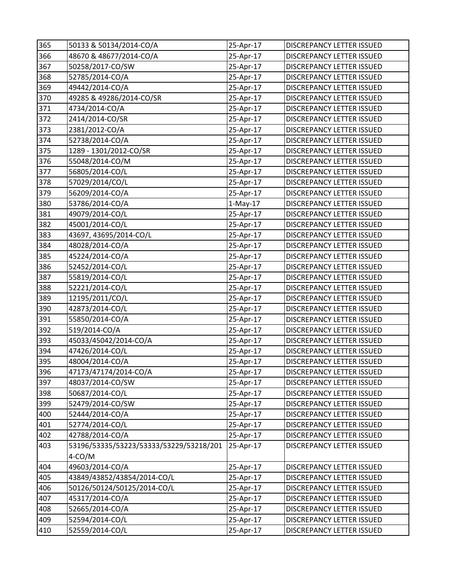| 365 | 50133 & 50134/2014-CO/A                 | 25-Apr-17  | DISCREPANCY LETTER ISSUED        |
|-----|-----------------------------------------|------------|----------------------------------|
| 366 | 48670 & 48677/2014-CO/A                 | 25-Apr-17  | DISCREPANCY LETTER ISSUED        |
| 367 | 50258/2017-CO/SW                        | 25-Apr-17  | DISCREPANCY LETTER ISSUED        |
| 368 | 52785/2014-CO/A                         | 25-Apr-17  | DISCREPANCY LETTER ISSUED        |
| 369 | 49442/2014-CO/A                         | 25-Apr-17  | DISCREPANCY LETTER ISSUED        |
| 370 | 49285 & 49286/2014-CO/SR                | 25-Apr-17  | DISCREPANCY LETTER ISSUED        |
| 371 | 4734/2014-CO/A                          | 25-Apr-17  | DISCREPANCY LETTER ISSUED        |
| 372 | 2414/2014-CO/SR                         | 25-Apr-17  | DISCREPANCY LETTER ISSUED        |
| 373 | 2381/2012-CO/A                          | 25-Apr-17  | DISCREPANCY LETTER ISSUED        |
| 374 | 52738/2014-CO/A                         | 25-Apr-17  | <b>DISCREPANCY LETTER ISSUED</b> |
| 375 | 1289 - 1301/2012-CO/SR                  | 25-Apr-17  | DISCREPANCY LETTER ISSUED        |
| 376 | 55048/2014-CO/M                         | 25-Apr-17  | DISCREPANCY LETTER ISSUED        |
| 377 | 56805/2014-CO/L                         | 25-Apr-17  | DISCREPANCY LETTER ISSUED        |
| 378 | 57029/2014/CO/L                         | 25-Apr-17  | DISCREPANCY LETTER ISSUED        |
| 379 | 56209/2014-CO/A                         | 25-Apr-17  | DISCREPANCY LETTER ISSUED        |
| 380 | 53786/2014-CO/A                         | $1-May-17$ | DISCREPANCY LETTER ISSUED        |
| 381 | 49079/2014-CO/L                         | 25-Apr-17  | DISCREPANCY LETTER ISSUED        |
| 382 | 45001/2014-CO/L                         | 25-Apr-17  | DISCREPANCY LETTER ISSUED        |
| 383 | 43697, 43695/2014-CO/L                  | 25-Apr-17  | DISCREPANCY LETTER ISSUED        |
| 384 | 48028/2014-CO/A                         | 25-Apr-17  | DISCREPANCY LETTER ISSUED        |
| 385 | 45224/2014-CO/A                         | 25-Apr-17  | DISCREPANCY LETTER ISSUED        |
| 386 | 52452/2014-CO/L                         | 25-Apr-17  | DISCREPANCY LETTER ISSUED        |
| 387 | 55819/2014-CO/L                         | 25-Apr-17  | DISCREPANCY LETTER ISSUED        |
| 388 | 52221/2014-CO/L                         | 25-Apr-17  | DISCREPANCY LETTER ISSUED        |
| 389 | 12195/2011/CO/L                         | 25-Apr-17  | DISCREPANCY LETTER ISSUED        |
| 390 | 42873/2014-CO/L                         | 25-Apr-17  | DISCREPANCY LETTER ISSUED        |
| 391 | 55850/2014-CO/A                         | 25-Apr-17  | DISCREPANCY LETTER ISSUED        |
| 392 | 519/2014-CO/A                           | 25-Apr-17  | DISCREPANCY LETTER ISSUED        |
| 393 | 45033/45042/2014-CO/A                   | 25-Apr-17  | DISCREPANCY LETTER ISSUED        |
| 394 | 47426/2014-CO/L                         | 25-Apr-17  | DISCREPANCY LETTER ISSUED        |
| 395 | 48004/2014-CO/A                         | 25-Apr-17  | DISCREPANCY LETTER ISSUED        |
| 396 | 47173/47174/2014-CO/A                   | 25-Apr-17  | DISCREPANCY LETTER ISSUED        |
| 397 | 48037/2014-CO/SW                        | 25-Apr-17  | DISCREPANCY LETTER ISSUED        |
| 398 | 50687/2014-CO/L                         | 25-Apr-17  | DISCREPANCY LETTER ISSUED        |
| 399 | 52479/2014-CO/SW                        | 25-Apr-17  | DISCREPANCY LETTER ISSUED        |
| 400 | 52444/2014-CO/A                         | 25-Apr-17  | DISCREPANCY LETTER ISSUED        |
| 401 | 52774/2014-CO/L                         | 25-Apr-17  | <b>DISCREPANCY LETTER ISSUED</b> |
| 402 | 42788/2014-CO/A                         | 25-Apr-17  | DISCREPANCY LETTER ISSUED        |
| 403 | 53196/53335/53223/53333/53229/53218/201 | 25-Apr-17  | DISCREPANCY LETTER ISSUED        |
|     | 4-CO/M                                  |            |                                  |
| 404 | 49603/2014-CO/A                         | 25-Apr-17  | DISCREPANCY LETTER ISSUED        |
| 405 | 43849/43852/43854/2014-CO/L             | 25-Apr-17  | DISCREPANCY LETTER ISSUED        |
| 406 | 50126/50124/50125/2014-CO/L             | 25-Apr-17  | DISCREPANCY LETTER ISSUED        |
| 407 | 45317/2014-CO/A                         | 25-Apr-17  | DISCREPANCY LETTER ISSUED        |
| 408 | 52665/2014-CO/A                         | 25-Apr-17  | DISCREPANCY LETTER ISSUED        |
| 409 | 52594/2014-CO/L                         | 25-Apr-17  | DISCREPANCY LETTER ISSUED        |
| 410 | 52559/2014-CO/L                         | 25-Apr-17  | DISCREPANCY LETTER ISSUED        |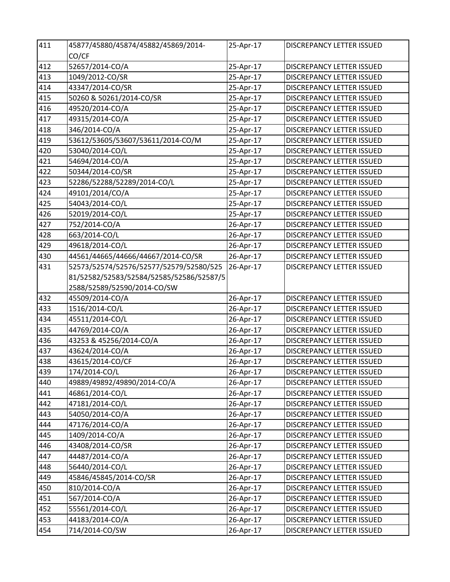| 411 | 45877/45880/45874/45882/45869/2014-      | 25-Apr-17 | DISCREPANCY LETTER ISSUED        |
|-----|------------------------------------------|-----------|----------------------------------|
|     | CO/CF                                    |           |                                  |
| 412 | 52657/2014-CO/A                          | 25-Apr-17 | DISCREPANCY LETTER ISSUED        |
| 413 | 1049/2012-CO/SR                          | 25-Apr-17 | DISCREPANCY LETTER ISSUED        |
| 414 | 43347/2014-CO/SR                         | 25-Apr-17 | DISCREPANCY LETTER ISSUED        |
| 415 | 50260 & 50261/2014-CO/SR                 | 25-Apr-17 | <b>DISCREPANCY LETTER ISSUED</b> |
| 416 | 49520/2014-CO/A                          | 25-Apr-17 | DISCREPANCY LETTER ISSUED        |
| 417 | 49315/2014-CO/A                          | 25-Apr-17 | DISCREPANCY LETTER ISSUED        |
| 418 | 346/2014-CO/A                            | 25-Apr-17 | DISCREPANCY LETTER ISSUED        |
| 419 | 53612/53605/53607/53611/2014-CO/M        | 25-Apr-17 | DISCREPANCY LETTER ISSUED        |
| 420 | 53040/2014-CO/L                          | 25-Apr-17 | DISCREPANCY LETTER ISSUED        |
| 421 | 54694/2014-CO/A                          | 25-Apr-17 | DISCREPANCY LETTER ISSUED        |
| 422 | 50344/2014-CO/SR                         | 25-Apr-17 | DISCREPANCY LETTER ISSUED        |
| 423 | 52286/52288/52289/2014-CO/L              | 25-Apr-17 | <b>DISCREPANCY LETTER ISSUED</b> |
| 424 | 49101/2014/CO/A                          | 25-Apr-17 | DISCREPANCY LETTER ISSUED        |
| 425 | 54043/2014-CO/L                          | 25-Apr-17 | DISCREPANCY LETTER ISSUED        |
| 426 | 52019/2014-CO/L                          | 25-Apr-17 | <b>DISCREPANCY LETTER ISSUED</b> |
| 427 | 752/2014-CO/A                            | 26-Apr-17 | DISCREPANCY LETTER ISSUED        |
| 428 | 663/2014-CO/L                            | 26-Apr-17 | DISCREPANCY LETTER ISSUED        |
| 429 | 49618/2014-CO/L                          | 26-Apr-17 | DISCREPANCY LETTER ISSUED        |
| 430 | 44561/44665/44666/44667/2014-CO/SR       | 26-Apr-17 | DISCREPANCY LETTER ISSUED        |
| 431 | 52573/52574/52576/52577/52579/52580/525  | 26-Apr-17 | DISCREPANCY LETTER ISSUED        |
|     | 81/52582/52583/52584/52585/52586/52587/5 |           |                                  |
|     | 2588/52589/52590/2014-CO/SW              |           |                                  |
| 432 | 45509/2014-CO/A                          | 26-Apr-17 | DISCREPANCY LETTER ISSUED        |
| 433 | 1516/2014-CO/L                           | 26-Apr-17 | <b>DISCREPANCY LETTER ISSUED</b> |
| 434 | 45511/2014-CO/L                          | 26-Apr-17 | DISCREPANCY LETTER ISSUED        |
| 435 | 44769/2014-CO/A                          | 26-Apr-17 | DISCREPANCY LETTER ISSUED        |
| 436 | 43253 & 45256/2014-CO/A                  | 26-Apr-17 | DISCREPANCY LETTER ISSUED        |
| 437 | 43624/2014-CO/A                          | 26-Apr-17 | DISCREPANCY LETTER ISSUED        |
| 438 | 43615/2014-CO/CF                         | 26-Apr-17 | DISCREPANCY LETTER ISSUED        |
| 439 | 174/2014-CO/L                            | 26-Apr-17 | DISCREPANCY LETTER ISSUED        |
| 440 | 49889/49892/49890/2014-CO/A              | 26-Apr-17 | DISCREPANCY LETTER ISSUED        |
| 441 | 46861/2014-CO/L                          | 26-Apr-17 | DISCREPANCY LETTER ISSUED        |
| 442 | 47181/2014-CO/L                          | 26-Apr-17 | DISCREPANCY LETTER ISSUED        |
| 443 | 54050/2014-CO/A                          | 26-Apr-17 | DISCREPANCY LETTER ISSUED        |
| 444 | 47176/2014-CO/A                          | 26-Apr-17 | DISCREPANCY LETTER ISSUED        |
| 445 | 1409/2014-CO/A                           | 26-Apr-17 | DISCREPANCY LETTER ISSUED        |
| 446 | 43408/2014-CO/SR                         | 26-Apr-17 | DISCREPANCY LETTER ISSUED        |
| 447 | 44487/2014-CO/A                          | 26-Apr-17 | DISCREPANCY LETTER ISSUED        |
| 448 | 56440/2014-CO/L                          | 26-Apr-17 | DISCREPANCY LETTER ISSUED        |
| 449 | 45846/45845/2014-CO/SR                   | 26-Apr-17 | DISCREPANCY LETTER ISSUED        |
| 450 | 810/2014-CO/A                            | 26-Apr-17 | DISCREPANCY LETTER ISSUED        |
| 451 | 567/2014-CO/A                            | 26-Apr-17 | DISCREPANCY LETTER ISSUED        |
| 452 | 55561/2014-CO/L                          | 26-Apr-17 | DISCREPANCY LETTER ISSUED        |
| 453 | 44183/2014-CO/A                          | 26-Apr-17 | DISCREPANCY LETTER ISSUED        |
| 454 | 714/2014-CO/SW                           | 26-Apr-17 | DISCREPANCY LETTER ISSUED        |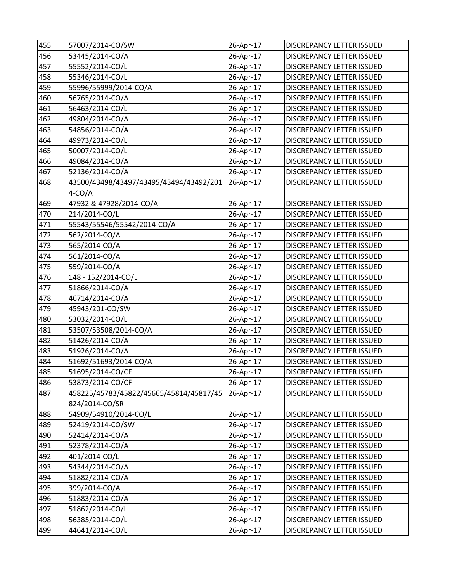| 455 | 57007/2014-CO/SW                        | 26-Apr-17 | <b>DISCREPANCY LETTER ISSUED</b> |
|-----|-----------------------------------------|-----------|----------------------------------|
| 456 | 53445/2014-CO/A                         | 26-Apr-17 | DISCREPANCY LETTER ISSUED        |
| 457 | 55552/2014-CO/L                         | 26-Apr-17 | DISCREPANCY LETTER ISSUED        |
| 458 | 55346/2014-CO/L                         | 26-Apr-17 | DISCREPANCY LETTER ISSUED        |
| 459 | 55996/55999/2014-CO/A                   | 26-Apr-17 | DISCREPANCY LETTER ISSUED        |
| 460 | 56765/2014-CO/A                         | 26-Apr-17 | DISCREPANCY LETTER ISSUED        |
| 461 | 56463/2014-CO/L                         | 26-Apr-17 | DISCREPANCY LETTER ISSUED        |
| 462 | 49804/2014-CO/A                         | 26-Apr-17 | DISCREPANCY LETTER ISSUED        |
| 463 | 54856/2014-CO/A                         | 26-Apr-17 | DISCREPANCY LETTER ISSUED        |
| 464 | 49973/2014-CO/L                         | 26-Apr-17 | <b>DISCREPANCY LETTER ISSUED</b> |
| 465 | 50007/2014-CO/L                         | 26-Apr-17 | DISCREPANCY LETTER ISSUED        |
| 466 | 49084/2014-CO/A                         | 26-Apr-17 | DISCREPANCY LETTER ISSUED        |
| 467 | 52136/2014-CO/A                         | 26-Apr-17 | DISCREPANCY LETTER ISSUED        |
| 468 | 43500/43498/43497/43495/43494/43492/201 | 26-Apr-17 | DISCREPANCY LETTER ISSUED        |
|     | $4-CO/A$                                |           |                                  |
| 469 | 47932 & 47928/2014-CO/A                 | 26-Apr-17 | DISCREPANCY LETTER ISSUED        |
| 470 | 214/2014-CO/L                           | 26-Apr-17 | DISCREPANCY LETTER ISSUED        |
| 471 | 55543/55546/55542/2014-CO/A             | 26-Apr-17 | DISCREPANCY LETTER ISSUED        |
| 472 | 562/2014-CO/A                           | 26-Apr-17 | DISCREPANCY LETTER ISSUED        |
| 473 | 565/2014-CO/A                           | 26-Apr-17 | DISCREPANCY LETTER ISSUED        |
| 474 | 561/2014-CO/A                           | 26-Apr-17 | DISCREPANCY LETTER ISSUED        |
| 475 | 559/2014-CO/A                           | 26-Apr-17 | DISCREPANCY LETTER ISSUED        |
| 476 | 148 - 152/2014-CO/L                     | 26-Apr-17 | DISCREPANCY LETTER ISSUED        |
| 477 | 51866/2014-CO/A                         | 26-Apr-17 | DISCREPANCY LETTER ISSUED        |
| 478 | 46714/2014-CO/A                         | 26-Apr-17 | DISCREPANCY LETTER ISSUED        |
| 479 | 45943/201-CO/SW                         | 26-Apr-17 | DISCREPANCY LETTER ISSUED        |
| 480 | 53032/2014-CO/L                         | 26-Apr-17 | DISCREPANCY LETTER ISSUED        |
| 481 | 53507/53508/2014-CO/A                   | 26-Apr-17 | DISCREPANCY LETTER ISSUED        |
| 482 | 51426/2014-CO/A                         | 26-Apr-17 | DISCREPANCY LETTER ISSUED        |
| 483 | 51926/2014-CO/A                         | 26-Apr-17 | DISCREPANCY LETTER ISSUED        |
| 484 | 51692/51693/2014-CO/A                   | 26-Apr-17 | DISCREPANCY LETTER ISSUED        |
| 485 | 51695/2014-CO/CF                        | 26-Apr-17 | DISCREPANCY LETTER ISSUED        |
| 486 | 53873/2014-CO/CF                        | 26-Apr-17 | DISCREPANCY LETTER ISSUED        |
| 487 | 458225/45783/45822/45665/45814/45817/45 | 26-Apr-17 | DISCREPANCY LETTER ISSUED        |
|     | 824/2014-CO/SR                          |           |                                  |
| 488 | 54909/54910/2014-CO/L                   | 26-Apr-17 | DISCREPANCY LETTER ISSUED        |
| 489 | 52419/2014-CO/SW                        | 26-Apr-17 | DISCREPANCY LETTER ISSUED        |
| 490 | 52414/2014-CO/A                         | 26-Apr-17 | <b>DISCREPANCY LETTER ISSUED</b> |
| 491 | 52378/2014-CO/A                         | 26-Apr-17 | DISCREPANCY LETTER ISSUED        |
| 492 | 401/2014-CO/L                           | 26-Apr-17 | DISCREPANCY LETTER ISSUED        |
| 493 | 54344/2014-CO/A                         | 26-Apr-17 | DISCREPANCY LETTER ISSUED        |
| 494 | 51882/2014-CO/A                         | 26-Apr-17 | DISCREPANCY LETTER ISSUED        |
| 495 | 399/2014-CO/A                           | 26-Apr-17 | DISCREPANCY LETTER ISSUED        |
| 496 | 51883/2014-CO/A                         | 26-Apr-17 | DISCREPANCY LETTER ISSUED        |
| 497 | 51862/2014-CO/L                         | 26-Apr-17 | DISCREPANCY LETTER ISSUED        |
| 498 | 56385/2014-CO/L                         | 26-Apr-17 | DISCREPANCY LETTER ISSUED        |
| 499 | 44641/2014-CO/L                         | 26-Apr-17 | DISCREPANCY LETTER ISSUED        |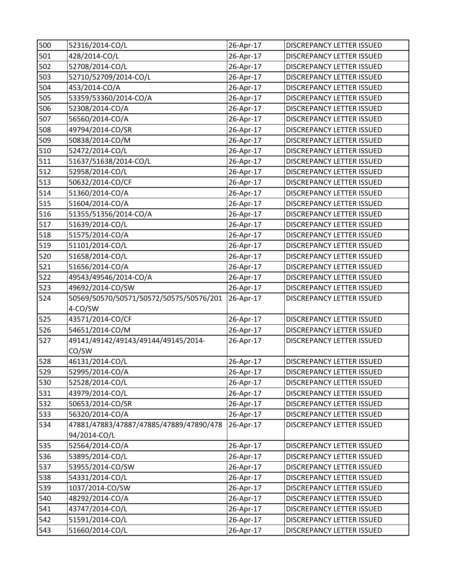| 500 | 52316/2014-CO/L                         | 26-Apr-17 | DISCREPANCY LETTER ISSUED        |
|-----|-----------------------------------------|-----------|----------------------------------|
| 501 | 428/2014-CO/L                           | 26-Apr-17 | DISCREPANCY LETTER ISSUED        |
| 502 | 52708/2014-CO/L                         | 26-Apr-17 | DISCREPANCY LETTER ISSUED        |
| 503 | 52710/52709/2014-CO/L                   | 26-Apr-17 | DISCREPANCY LETTER ISSUED        |
| 504 | 453/2014-CO/A                           | 26-Apr-17 | DISCREPANCY LETTER ISSUED        |
| 505 | 53359/53360/2014-CO/A                   | 26-Apr-17 | DISCREPANCY LETTER ISSUED        |
| 506 | 52308/2014-CO/A                         | 26-Apr-17 | DISCREPANCY LETTER ISSUED        |
| 507 | 56560/2014-CO/A                         | 26-Apr-17 | DISCREPANCY LETTER ISSUED        |
| 508 | 49794/2014-CO/SR                        | 26-Apr-17 | DISCREPANCY LETTER ISSUED        |
| 509 | 50838/2014-CO/M                         | 26-Apr-17 | <b>DISCREPANCY LETTER ISSUED</b> |
| 510 | 52472/2014-CO/L                         | 26-Apr-17 | DISCREPANCY LETTER ISSUED        |
| 511 | 51637/51638/2014-CO/L                   | 26-Apr-17 | DISCREPANCY LETTER ISSUED        |
| 512 | 52958/2014-CO/L                         | 26-Apr-17 | DISCREPANCY LETTER ISSUED        |
| 513 | 50632/2014-CO/CF                        | 26-Apr-17 | DISCREPANCY LETTER ISSUED        |
| 514 | 51360/2014-CO/A                         | 26-Apr-17 | DISCREPANCY LETTER ISSUED        |
| 515 | 51604/2014-CO/A                         | 26-Apr-17 | DISCREPANCY LETTER ISSUED        |
| 516 | 51355/51356/2014-CO/A                   | 26-Apr-17 | DISCREPANCY LETTER ISSUED        |
| 517 | 51639/2014-CO/L                         | 26-Apr-17 | DISCREPANCY LETTER ISSUED        |
| 518 | 51575/2014-CO/A                         | 26-Apr-17 | DISCREPANCY LETTER ISSUED        |
| 519 | 51101/2014-CO/L                         | 26-Apr-17 | DISCREPANCY LETTER ISSUED        |
| 520 | 51658/2014-CO/L                         | 26-Apr-17 | DISCREPANCY LETTER ISSUED        |
| 521 | 51656/2014-CO/A                         | 26-Apr-17 | DISCREPANCY LETTER ISSUED        |
| 522 | 49543/49546/2014-CO/A                   | 26-Apr-17 | DISCREPANCY LETTER ISSUED        |
| 523 | 49692/2014-CO/SW                        | 26-Apr-17 | DISCREPANCY LETTER ISSUED        |
| 524 | 50569/50570/50571/50572/50575/50576/201 | 26-Apr-17 | DISCREPANCY LETTER ISSUED        |
|     | 4-CO/SW                                 |           |                                  |
| 525 | 43571/2014-CO/CF                        | 26-Apr-17 | DISCREPANCY LETTER ISSUED        |
| 526 | 54651/2014-CO/M                         | 26-Apr-17 | DISCREPANCY LETTER ISSUED        |
| 527 | 49141/49142/49143/49144/49145/2014-     | 26-Apr-17 | DISCREPANCY LETTER ISSUED        |
|     | CO/SW                                   |           |                                  |
| 528 | 46131/2014-CO/L                         | 26-Apr-17 | DISCREPANCY LETTER ISSUED        |
| 529 | 52995/2014-CO/A                         | 26-Apr-17 | <b>DISCREPANCY LETTER ISSUED</b> |
| 530 | 52528/2014-CO/L                         | 26-Apr-17 | DISCREPANCY LETTER ISSUED        |
| 531 | 43979/2014-CO/L                         | 26-Apr-17 | DISCREPANCY LETTER ISSUED        |
| 532 | 50653/2014-CO/SR                        | 26-Apr-17 | <b>DISCREPANCY LETTER ISSUED</b> |
| 533 | 56320/2014-CO/A                         | 26-Apr-17 | DISCREPANCY LETTER ISSUED        |
| 534 | 47881/47883/47887/47885/47889/47890/478 | 26-Apr-17 | DISCREPANCY LETTER ISSUED        |
|     | 94/2014-CO/L                            |           |                                  |
| 535 | 52564/2014-CO/A                         | 26-Apr-17 | DISCREPANCY LETTER ISSUED        |
| 536 | 53895/2014-CO/L                         | 26-Apr-17 | <b>DISCREPANCY LETTER ISSUED</b> |
| 537 | 53955/2014-CO/SW                        | 26-Apr-17 | DISCREPANCY LETTER ISSUED        |
| 538 | 54331/2014-CO/L                         | 26-Apr-17 | DISCREPANCY LETTER ISSUED        |
| 539 | 1037/2014-CO/SW                         | 26-Apr-17 | DISCREPANCY LETTER ISSUED        |
| 540 | 48292/2014-CO/A                         | 26-Apr-17 | DISCREPANCY LETTER ISSUED        |
| 541 | 43747/2014-CO/L                         | 26-Apr-17 | DISCREPANCY LETTER ISSUED        |
| 542 | 51591/2014-CO/L                         | 26-Apr-17 | DISCREPANCY LETTER ISSUED        |
| 543 | 51660/2014-CO/L                         | 26-Apr-17 | DISCREPANCY LETTER ISSUED        |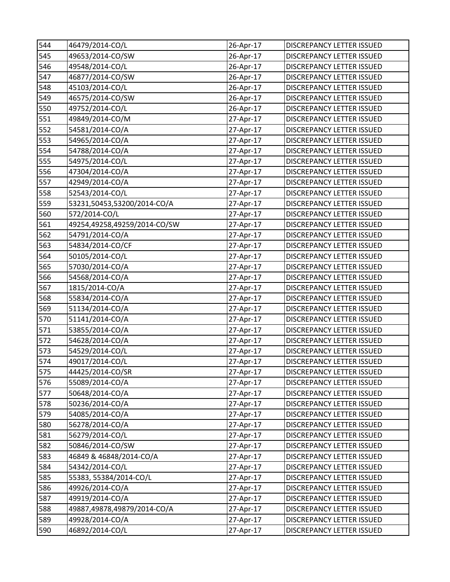| 544 | 46479/2014-CO/L              | 26-Apr-17              | DISCREPANCY LETTER ISSUED        |
|-----|------------------------------|------------------------|----------------------------------|
| 545 | 49653/2014-CO/SW             | 26-Apr-17              | DISCREPANCY LETTER ISSUED        |
| 546 | 49548/2014-CO/L              | 26-Apr-17              | DISCREPANCY LETTER ISSUED        |
| 547 | 46877/2014-CO/SW             | 26-Apr-17              | DISCREPANCY LETTER ISSUED        |
| 548 | 45103/2014-CO/L              | 26-Apr-17              | DISCREPANCY LETTER ISSUED        |
| 549 | 46575/2014-CO/SW             | 26-Apr-17              | DISCREPANCY LETTER ISSUED        |
| 550 | 49752/2014-CO/L              | 26-Apr-17              | DISCREPANCY LETTER ISSUED        |
| 551 | 49849/2014-CO/M              | 27-Apr-17              | DISCREPANCY LETTER ISSUED        |
| 552 | 54581/2014-CO/A              | 27-Apr-17              | DISCREPANCY LETTER ISSUED        |
| 553 | 54965/2014-CO/A              | 27-Apr-17              | DISCREPANCY LETTER ISSUED        |
| 554 | 54788/2014-CO/A              | 27-Apr-17              | DISCREPANCY LETTER ISSUED        |
| 555 | 54975/2014-CO/L              | 27-Apr-17              | DISCREPANCY LETTER ISSUED        |
| 556 | 47304/2014-CO/A              | 27-Apr-17              | DISCREPANCY LETTER ISSUED        |
| 557 | 42949/2014-CO/A              | 27-Apr-17              | DISCREPANCY LETTER ISSUED        |
| 558 | 52543/2014-CO/L              | 27-Apr-17              | DISCREPANCY LETTER ISSUED        |
| 559 | 53231,50453,53200/2014-CO/A  | 27-Apr-17              | DISCREPANCY LETTER ISSUED        |
| 560 | 572/2014-CO/L                | 27-Apr-17              | DISCREPANCY LETTER ISSUED        |
| 561 | 49254,49258,49259/2014-CO/SW | 27-Apr-17              | DISCREPANCY LETTER ISSUED        |
| 562 | 54791/2014-CO/A              | 27-Apr-17              | DISCREPANCY LETTER ISSUED        |
| 563 | 54834/2014-CO/CF             | 27-Apr-17              | DISCREPANCY LETTER ISSUED        |
| 564 | 50105/2014-CO/L              | 27-Apr-17              | DISCREPANCY LETTER ISSUED        |
| 565 | 57030/2014-CO/A              | 27-Apr-17              | DISCREPANCY LETTER ISSUED        |
| 566 | 54568/2014-CO/A              | 27-Apr-17              | DISCREPANCY LETTER ISSUED        |
| 567 | 1815/2014-CO/A               | 27-Apr-17              | DISCREPANCY LETTER ISSUED        |
| 568 | 55834/2014-CO/A              | 27-Apr-17              | DISCREPANCY LETTER ISSUED        |
| 569 | 51134/2014-CO/A              | 27-Apr-17              | DISCREPANCY LETTER ISSUED        |
| 570 | 51141/2014-CO/A              | 27-Apr-17              | DISCREPANCY LETTER ISSUED        |
| 571 | 53855/2014-CO/A              | 27-Apr-17              | DISCREPANCY LETTER ISSUED        |
| 572 | 54628/2014-CO/A              | 27-Apr-17              | DISCREPANCY LETTER ISSUED        |
| 573 | 54529/2014-CO/L              | 27-Apr-17              | DISCREPANCY LETTER ISSUED        |
| 574 | 49017/2014-CO/L              | 27-Apr-17              | <b>DISCREPANCY LETTER ISSUED</b> |
| 575 | 44425/2014-CO/SR             | $\frac{1}{2}$ 7-Apr-17 | DISCREPANCY LETTER ISSUED        |
| 576 | 55089/2014-CO/A              | 27-Apr-17              | DISCREPANCY LETTER ISSUED        |
| 577 | 50648/2014-CO/A              | 27-Apr-17              | DISCREPANCY LETTER ISSUED        |
| 578 | 50236/2014-CO/A              | 27-Apr-17              | DISCREPANCY LETTER ISSUED        |
| 579 | 54085/2014-CO/A              | 27-Apr-17              | DISCREPANCY LETTER ISSUED        |
| 580 | 56278/2014-CO/A              | 27-Apr-17              | DISCREPANCY LETTER ISSUED        |
| 581 | 56279/2014-CO/L              | 27-Apr-17              | DISCREPANCY LETTER ISSUED        |
| 582 | 50846/2014-CO/SW             | 27-Apr-17              | DISCREPANCY LETTER ISSUED        |
| 583 | 46849 & 46848/2014-CO/A      | 27-Apr-17              | DISCREPANCY LETTER ISSUED        |
| 584 | 54342/2014-CO/L              | 27-Apr-17              | DISCREPANCY LETTER ISSUED        |
| 585 | 55383, 55384/2014-CO/L       | 27-Apr-17              | DISCREPANCY LETTER ISSUED        |
| 586 | 49926/2014-CO/A              | 27-Apr-17              | DISCREPANCY LETTER ISSUED        |
| 587 | 49919/2014-CO/A              | 27-Apr-17              | DISCREPANCY LETTER ISSUED        |
| 588 | 49887,49878,49879/2014-CO/A  | 27-Apr-17              | DISCREPANCY LETTER ISSUED        |
| 589 | 49928/2014-CO/A              | 27-Apr-17              | DISCREPANCY LETTER ISSUED        |
| 590 | 46892/2014-CO/L              | 27-Apr-17              | DISCREPANCY LETTER ISSUED        |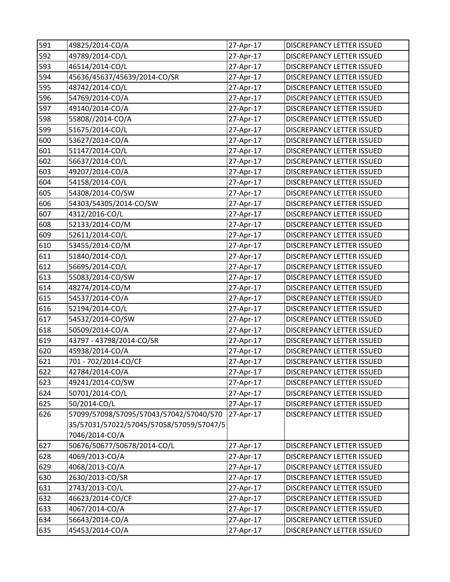| 591 | 49825/2014-CO/A                          | 27-Apr-17    | DISCREPANCY LETTER ISSUED        |
|-----|------------------------------------------|--------------|----------------------------------|
| 592 | 49789/2014-CO/L                          | 27-Apr-17    | DISCREPANCY LETTER ISSUED        |
| 593 | 46514/2014-CO/L                          | 27-Apr-17    | DISCREPANCY LETTER ISSUED        |
| 594 | 45636/45637/45639/2014-CO/SR             | 27-Apr-17    | DISCREPANCY LETTER ISSUED        |
| 595 | 48742/2014-CO/L                          | 27-Apr-17    | DISCREPANCY LETTER ISSUED        |
| 596 | 54769/2014-CO/A                          | 27-Apr-17    | DISCREPANCY LETTER ISSUED        |
| 597 | 49140/2014-CO/A                          | 27-Apr-17    | DISCREPANCY LETTER ISSUED        |
| 598 | 55808//2014-CO/A                         | 27-Apr-17    | <b>DISCREPANCY LETTER ISSUED</b> |
| 599 | 51675/2014-CO/L                          | 27-Apr-17    | DISCREPANCY LETTER ISSUED        |
| 600 | 53627/2014-CO/A                          | 27-Apr-17    | DISCREPANCY LETTER ISSUED        |
| 601 | 51147/2014-CO/L                          | 27-Apr-17    | DISCREPANCY LETTER ISSUED        |
| 602 | 56637/2014-CO/L                          | 27-Apr-17    | DISCREPANCY LETTER ISSUED        |
| 603 | 49207/2014-CO/A                          | 27-Apr-17    | DISCREPANCY LETTER ISSUED        |
| 604 | 54158/2014-CO/L                          | 27-Apr-17    | DISCREPANCY LETTER ISSUED        |
| 605 | 54308/2014-CO/SW                         | 27-Apr-17    | DISCREPANCY LETTER ISSUED        |
| 606 | 54303/54305/2014-CO/SW                   | 27-Apr-17    | DISCREPANCY LETTER ISSUED        |
| 607 | 4312/2016-CO/L                           | 27-Apr-17    | DISCREPANCY LETTER ISSUED        |
| 608 | 52133/2014-CO/M                          | 27-Apr-17    | DISCREPANCY LETTER ISSUED        |
| 609 | 52611/2014-CO/L                          | 27-Apr-17    | DISCREPANCY LETTER ISSUED        |
| 610 | 53455/2014-CO/M                          | 27-Apr-17    | DISCREPANCY LETTER ISSUED        |
| 611 | 51840/2014-CO/L                          | 27-Apr-17    | DISCREPANCY LETTER ISSUED        |
| 612 | 56695/2014-CO/L                          | 27-Apr-17    | DISCREPANCY LETTER ISSUED        |
| 613 | 55083/2014-CO/SW                         | 27-Apr-17    | DISCREPANCY LETTER ISSUED        |
| 614 | 48274/2014-CO/M                          | 27-Apr-17    | DISCREPANCY LETTER ISSUED        |
| 615 | 54537/2014-CO/A                          | 27-Apr-17    | DISCREPANCY LETTER ISSUED        |
| 616 | 52194/2014-CO/L                          | 27-Apr-17    | DISCREPANCY LETTER ISSUED        |
| 617 | 54532/2014-CO/SW                         | 27-Apr-17    | DISCREPANCY LETTER ISSUED        |
| 618 | 50509/2014-CO/A                          | 27-Apr-17    | DISCREPANCY LETTER ISSUED        |
| 619 | 43797 - 43798/2014-CO/SR                 | 27-Apr-17    | DISCREPANCY LETTER ISSUED        |
| 620 | 45938/2014-CO/A                          | 27-Apr-17    | DISCREPANCY LETTER ISSUED        |
| 621 | 701 - 702/2014-CO/CF                     | 27-Apr-17    | DISCREPANCY LETTER ISSUED        |
| 622 | 42784/2014-CO/A                          | $27$ -Apr-17 | <b>DISCREPANCY LETTER ISSUED</b> |
| 623 | 49241/2014-CO/SW                         | 27-Apr-17    | DISCREPANCY LETTER ISSUED        |
| 624 | 50701/2014-CO/L                          | 27-Apr-17    | DISCREPANCY LETTER ISSUED        |
| 625 | 50/2014-CO/L                             | 27-Apr-17    | DISCREPANCY LETTER ISSUED        |
| 626 | 57099/57098/57095/57043/57042/57040/570  | 27-Apr-17    | DISCREPANCY LETTER ISSUED        |
|     | 35/57031/57022/57045/57058/57059/57047/5 |              |                                  |
|     | 7046/2014-CO/A                           |              |                                  |
| 627 | 50676/50677/50678/2014-CO/L              | 27-Apr-17    | DISCREPANCY LETTER ISSUED        |
| 628 | 4069/2013-CO/A                           | 27-Apr-17    | DISCREPANCY LETTER ISSUED        |
| 629 | 4068/2013-CO/A                           | 27-Apr-17    | DISCREPANCY LETTER ISSUED        |
| 630 | 2630/2013-CO/SR                          | 27-Apr-17    | DISCREPANCY LETTER ISSUED        |
| 631 | 2743/2013-CO/L                           | 27-Apr-17    | DISCREPANCY LETTER ISSUED        |
| 632 | 46623/2014-CO/CF                         | 27-Apr-17    | DISCREPANCY LETTER ISSUED        |
| 633 | 4067/2014-CO/A                           | 27-Apr-17    | DISCREPANCY LETTER ISSUED        |
| 634 | 56643/2014-CO/A                          | 27-Apr-17    | DISCREPANCY LETTER ISSUED        |
| 635 | 45453/2014-CO/A                          | 27-Apr-17    | DISCREPANCY LETTER ISSUED        |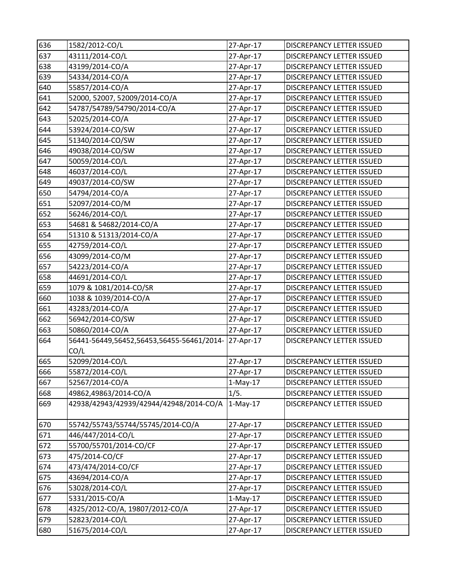| 636 | 1582/2012-CO/L                            | 27-Apr-17  | DISCREPANCY LETTER ISSUED |
|-----|-------------------------------------------|------------|---------------------------|
| 637 | 43111/2014-CO/L                           | 27-Apr-17  | DISCREPANCY LETTER ISSUED |
| 638 | 43199/2014-CO/A                           | 27-Apr-17  | DISCREPANCY LETTER ISSUED |
| 639 | 54334/2014-CO/A                           | 27-Apr-17  | DISCREPANCY LETTER ISSUED |
| 640 | 55857/2014-CO/A                           | 27-Apr-17  | DISCREPANCY LETTER ISSUED |
| 641 | 52000, 52007, 52009/2014-CO/A             | 27-Apr-17  | DISCREPANCY LETTER ISSUED |
| 642 | 54787/54789/54790/2014-CO/A               | 27-Apr-17  | DISCREPANCY LETTER ISSUED |
| 643 | 52025/2014-CO/A                           | 27-Apr-17  | DISCREPANCY LETTER ISSUED |
| 644 | 53924/2014-CO/SW                          | 27-Apr-17  | DISCREPANCY LETTER ISSUED |
| 645 | 51340/2014-CO/SW                          | 27-Apr-17  | DISCREPANCY LETTER ISSUED |
| 646 | 49038/2014-CO/SW                          | 27-Apr-17  | DISCREPANCY LETTER ISSUED |
| 647 | 50059/2014-CO/L                           | 27-Apr-17  | DISCREPANCY LETTER ISSUED |
| 648 | 46037/2014-CO/L                           | 27-Apr-17  | DISCREPANCY LETTER ISSUED |
| 649 | 49037/2014-CO/SW                          | 27-Apr-17  | DISCREPANCY LETTER ISSUED |
| 650 | 54794/2014-CO/A                           | 27-Apr-17  | DISCREPANCY LETTER ISSUED |
| 651 | 52097/2014-CO/M                           | 27-Apr-17  | DISCREPANCY LETTER ISSUED |
| 652 | 56246/2014-CO/L                           | 27-Apr-17  | DISCREPANCY LETTER ISSUED |
| 653 | 54681 & 54682/2014-CO/A                   | 27-Apr-17  | DISCREPANCY LETTER ISSUED |
| 654 | 51310 & 51313/2014-CO/A                   | 27-Apr-17  | DISCREPANCY LETTER ISSUED |
| 655 | 42759/2014-CO/L                           | 27-Apr-17  | DISCREPANCY LETTER ISSUED |
| 656 | 43099/2014-CO/M                           | 27-Apr-17  | DISCREPANCY LETTER ISSUED |
| 657 | 54223/2014-CO/A                           | 27-Apr-17  | DISCREPANCY LETTER ISSUED |
| 658 | 44691/2014-CO/L                           | 27-Apr-17  | DISCREPANCY LETTER ISSUED |
| 659 | 1079 & 1081/2014-CO/SR                    | 27-Apr-17  | DISCREPANCY LETTER ISSUED |
| 660 | 1038 & 1039/2014-CO/A                     | 27-Apr-17  | DISCREPANCY LETTER ISSUED |
| 661 | 43283/2014-CO/A                           | 27-Apr-17  | DISCREPANCY LETTER ISSUED |
| 662 | 56942/2014-CO/SW                          | 27-Apr-17  | DISCREPANCY LETTER ISSUED |
| 663 | 50860/2014-CO/A                           | 27-Apr-17  | DISCREPANCY LETTER ISSUED |
| 664 | 56441-56449,56452,56453,56455-56461/2014- | 27-Apr-17  | DISCREPANCY LETTER ISSUED |
|     | CO/L                                      |            |                           |
| 665 | 52099/2014-CO/L                           | 27-Apr-17  | DISCREPANCY LETTER ISSUED |
| 666 | 55872/2014-CO/L                           | 27-Apr-17  | DISCREPANCY LETTER ISSUED |
| 667 | 52567/2014-CO/A                           | $1-May-17$ | DISCREPANCY LETTER ISSUED |
| 668 | 49862,49863/2014-CO/A                     | 1/5.       | DISCREPANCY LETTER ISSUED |
| 669 | 42938/42943/42939/42944/42948/2014-CO/A   | $1-May-17$ | DISCREPANCY LETTER ISSUED |
| 670 | 55742/55743/55744/55745/2014-CO/A         | 27-Apr-17  | DISCREPANCY LETTER ISSUED |
| 671 | 446/447/2014-CO/L                         | 27-Apr-17  | DISCREPANCY LETTER ISSUED |
| 672 | 55700/55701/2014-CO/CF                    | 27-Apr-17  | DISCREPANCY LETTER ISSUED |
| 673 | 475/2014-CO/CF                            | 27-Apr-17  | DISCREPANCY LETTER ISSUED |
| 674 | 473/474/2014-CO/CF                        | 27-Apr-17  | DISCREPANCY LETTER ISSUED |
| 675 | 43694/2014-CO/A                           | 27-Apr-17  | DISCREPANCY LETTER ISSUED |
| 676 | 53028/2014-CO/L                           | 27-Apr-17  | DISCREPANCY LETTER ISSUED |
| 677 | 5331/2015-CO/A                            | $1-May-17$ | DISCREPANCY LETTER ISSUED |
| 678 | 4325/2012-CO/A, 19807/2012-CO/A           | 27-Apr-17  | DISCREPANCY LETTER ISSUED |
| 679 | 52823/2014-CO/L                           | 27-Apr-17  | DISCREPANCY LETTER ISSUED |
| 680 | 51675/2014-CO/L                           | 27-Apr-17  | DISCREPANCY LETTER ISSUED |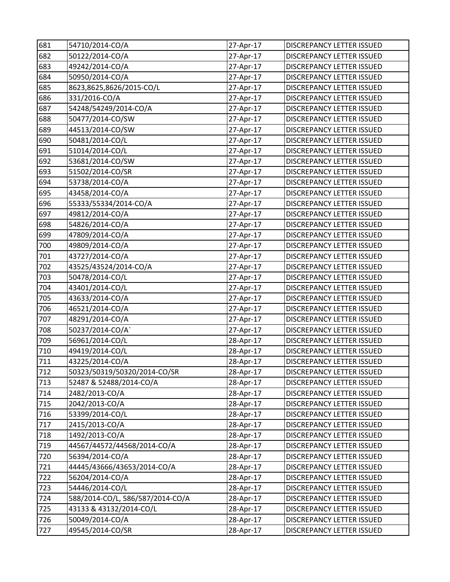| 681 | 54710/2014-CO/A                  | 27-Apr-17 | DISCREPANCY LETTER ISSUED        |
|-----|----------------------------------|-----------|----------------------------------|
| 682 | 50122/2014-CO/A                  | 27-Apr-17 | DISCREPANCY LETTER ISSUED        |
| 683 | 49242/2014-CO/A                  | 27-Apr-17 | DISCREPANCY LETTER ISSUED        |
| 684 | 50950/2014-CO/A                  | 27-Apr-17 | DISCREPANCY LETTER ISSUED        |
| 685 | 8623,8625,8626/2015-CO/L         | 27-Apr-17 | DISCREPANCY LETTER ISSUED        |
| 686 | 331/2016-CO/A                    | 27-Apr-17 | DISCREPANCY LETTER ISSUED        |
| 687 | 54248/54249/2014-CO/A            | 27-Apr-17 | DISCREPANCY LETTER ISSUED        |
| 688 | 50477/2014-CO/SW                 | 27-Apr-17 | DISCREPANCY LETTER ISSUED        |
| 689 | 44513/2014-CO/SW                 | 27-Apr-17 | DISCREPANCY LETTER ISSUED        |
| 690 | 50481/2014-CO/L                  | 27-Apr-17 | DISCREPANCY LETTER ISSUED        |
| 691 | 51014/2014-CO/L                  | 27-Apr-17 | DISCREPANCY LETTER ISSUED        |
| 692 | 53681/2014-CO/SW                 | 27-Apr-17 | DISCREPANCY LETTER ISSUED        |
| 693 | 51502/2014-CO/SR                 | 27-Apr-17 | DISCREPANCY LETTER ISSUED        |
| 694 | 53738/2014-CO/A                  | 27-Apr-17 | DISCREPANCY LETTER ISSUED        |
| 695 | 43458/2014-CO/A                  | 27-Apr-17 | DISCREPANCY LETTER ISSUED        |
| 696 | 55333/55334/2014-CO/A            | 27-Apr-17 | DISCREPANCY LETTER ISSUED        |
| 697 | 49812/2014-CO/A                  | 27-Apr-17 | DISCREPANCY LETTER ISSUED        |
| 698 | 54826/2014-CO/A                  | 27-Apr-17 | DISCREPANCY LETTER ISSUED        |
| 699 | 47809/2014-CO/A                  | 27-Apr-17 | DISCREPANCY LETTER ISSUED        |
| 700 | 49809/2014-CO/A                  | 27-Apr-17 | DISCREPANCY LETTER ISSUED        |
| 701 | 43727/2014-CO/A                  | 27-Apr-17 | DISCREPANCY LETTER ISSUED        |
| 702 | 43525/43524/2014-CO/A            | 27-Apr-17 | DISCREPANCY LETTER ISSUED        |
| 703 | 50478/2014-CO/L                  | 27-Apr-17 | DISCREPANCY LETTER ISSUED        |
| 704 | 43401/2014-CO/L                  | 27-Apr-17 | DISCREPANCY LETTER ISSUED        |
| 705 | 43633/2014-CO/A                  | 27-Apr-17 | DISCREPANCY LETTER ISSUED        |
| 706 | 46521/2014-CO/A                  | 27-Apr-17 | DISCREPANCY LETTER ISSUED        |
| 707 | 48291/2014-CO/A                  | 27-Apr-17 | DISCREPANCY LETTER ISSUED        |
| 708 | 50237/2014-CO/A`                 | 27-Apr-17 | DISCREPANCY LETTER ISSUED        |
| 709 | 56961/2014-CO/L                  | 28-Apr-17 | DISCREPANCY LETTER ISSUED        |
| 710 | 49419/2014-CO/L                  | 28-Apr-17 | DISCREPANCY LETTER ISSUED        |
| 711 | 43225/2014-CO/A                  | 28-Apr-17 | <b>DISCREPANCY LETTER ISSUED</b> |
| 712 | 50323/50319/50320/2014-CO/SR     | 28-Apr-17 | DISCREPANCY LETTER ISSUED        |
| 713 | 52487 & 52488/2014-CO/A          | 28-Apr-17 | DISCREPANCY LETTER ISSUED        |
| 714 | 2482/2013-CO/A                   | 28-Apr-17 | DISCREPANCY LETTER ISSUED        |
| 715 | 2042/2013-CO/A                   | 28-Apr-17 | DISCREPANCY LETTER ISSUED        |
| 716 | 53399/2014-CO/L                  | 28-Apr-17 | DISCREPANCY LETTER ISSUED        |
| 717 | 2415/2013-CO/A                   | 28-Apr-17 | DISCREPANCY LETTER ISSUED        |
| 718 | 1492/2013-CO/A                   | 28-Apr-17 | DISCREPANCY LETTER ISSUED        |
| 719 | 44567/44572/44568/2014-CO/A      | 28-Apr-17 | DISCREPANCY LETTER ISSUED        |
| 720 | 56394/2014-CO/A                  | 28-Apr-17 | DISCREPANCY LETTER ISSUED        |
| 721 | 44445/43666/43653/2014-CO/A      | 28-Apr-17 | DISCREPANCY LETTER ISSUED        |
| 722 | 56204/2014-CO/A                  | 28-Apr-17 | DISCREPANCY LETTER ISSUED        |
| 723 | 54446/2014-CO/L                  | 28-Apr-17 | DISCREPANCY LETTER ISSUED        |
| 724 | 588/2014-CO/L, 586/587/2014-CO/A | 28-Apr-17 | DISCREPANCY LETTER ISSUED        |
| 725 | 43133 & 43132/2014-CO/L          | 28-Apr-17 | DISCREPANCY LETTER ISSUED        |
| 726 | 50049/2014-CO/A                  | 28-Apr-17 | DISCREPANCY LETTER ISSUED        |
| 727 | 49545/2014-CO/SR                 | 28-Apr-17 | DISCREPANCY LETTER ISSUED        |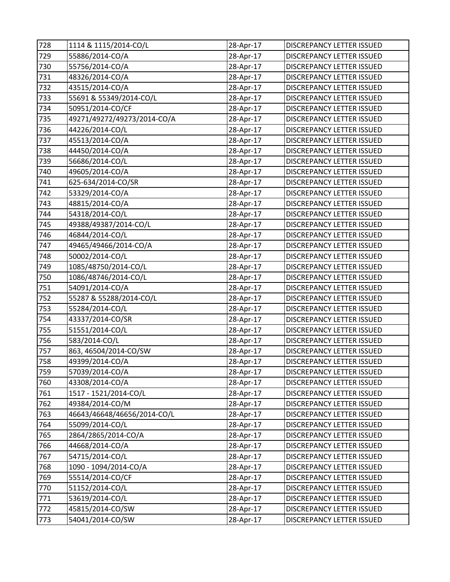| 728 | 1114 & 1115/2014-CO/L       | 28-Apr-17 | DISCREPANCY LETTER ISSUED |
|-----|-----------------------------|-----------|---------------------------|
| 729 | 55886/2014-CO/A             | 28-Apr-17 | DISCREPANCY LETTER ISSUED |
| 730 | 55756/2014-CO/A             | 28-Apr-17 | DISCREPANCY LETTER ISSUED |
| 731 | 48326/2014-CO/A             | 28-Apr-17 | DISCREPANCY LETTER ISSUED |
| 732 | 43515/2014-CO/A             | 28-Apr-17 | DISCREPANCY LETTER ISSUED |
| 733 | 55691 & 55349/2014-CO/L     | 28-Apr-17 | DISCREPANCY LETTER ISSUED |
| 734 | 50951/2014-CO/CF            | 28-Apr-17 | DISCREPANCY LETTER ISSUED |
| 735 | 49271/49272/49273/2014-CO/A | 28-Apr-17 | DISCREPANCY LETTER ISSUED |
| 736 | 44226/2014-CO/L             | 28-Apr-17 | DISCREPANCY LETTER ISSUED |
| 737 | 45513/2014-CO/A             | 28-Apr-17 | DISCREPANCY LETTER ISSUED |
| 738 | 44450/2014-CO/A             | 28-Apr-17 | DISCREPANCY LETTER ISSUED |
| 739 | 56686/2014-CO/L             | 28-Apr-17 | DISCREPANCY LETTER ISSUED |
| 740 | 49605/2014-CO/A             | 28-Apr-17 | DISCREPANCY LETTER ISSUED |
| 741 | 625-634/2014-CO/SR          | 28-Apr-17 | DISCREPANCY LETTER ISSUED |
| 742 | 53329/2014-CO/A             | 28-Apr-17 | DISCREPANCY LETTER ISSUED |
| 743 | 48815/2014-CO/A             | 28-Apr-17 | DISCREPANCY LETTER ISSUED |
| 744 | 54318/2014-CO/L             | 28-Apr-17 | DISCREPANCY LETTER ISSUED |
| 745 | 49388/49387/2014-CO/L       | 28-Apr-17 | DISCREPANCY LETTER ISSUED |
| 746 | 46844/2014-CO/L             | 28-Apr-17 | DISCREPANCY LETTER ISSUED |
| 747 | 49465/49466/2014-CO/A       | 28-Apr-17 | DISCREPANCY LETTER ISSUED |
| 748 | 50002/2014-CO/L             | 28-Apr-17 | DISCREPANCY LETTER ISSUED |
| 749 | 1085/48750/2014-CO/L        | 28-Apr-17 | DISCREPANCY LETTER ISSUED |
| 750 | 1086/48746/2014-CO/L        | 28-Apr-17 | DISCREPANCY LETTER ISSUED |
| 751 | 54091/2014-CO/A             | 28-Apr-17 | DISCREPANCY LETTER ISSUED |
| 752 | 55287 & 55288/2014-CO/L     | 28-Apr-17 | DISCREPANCY LETTER ISSUED |
| 753 | 55284/2014-CO/L             | 28-Apr-17 | DISCREPANCY LETTER ISSUED |
| 754 | 43337/2014-CO/SR            | 28-Apr-17 | DISCREPANCY LETTER ISSUED |
| 755 | 51551/2014-CO/L             | 28-Apr-17 | DISCREPANCY LETTER ISSUED |
| 756 | 583/2014-CO/L               | 28-Apr-17 | DISCREPANCY LETTER ISSUED |
| 757 | 863, 46504/2014-CO/SW       | 28-Apr-17 | DISCREPANCY LETTER ISSUED |
| 758 | 49399/2014-CO/A             | 28-Apr-17 | DISCREPANCY LETTER ISSUED |
| 759 | 57039/2014-CO/A             | 28-Apr-17 | DISCREPANCY LETTER ISSUED |
| 760 | 43308/2014-CO/A             | 28-Apr-17 | DISCREPANCY LETTER ISSUED |
| 761 | 1517 - 1521/2014-CO/L       | 28-Apr-17 | DISCREPANCY LETTER ISSUED |
| 762 | 49384/2014-CO/M             | 28-Apr-17 | DISCREPANCY LETTER ISSUED |
| 763 | 46643/46648/46656/2014-CO/L | 28-Apr-17 | DISCREPANCY LETTER ISSUED |
| 764 | 55099/2014-CO/L             | 28-Apr-17 | DISCREPANCY LETTER ISSUED |
| 765 | 2864/2865/2014-CO/A         | 28-Apr-17 | DISCREPANCY LETTER ISSUED |
| 766 | 44668/2014-CO/A             | 28-Apr-17 | DISCREPANCY LETTER ISSUED |
| 767 | 54715/2014-CO/L             | 28-Apr-17 | DISCREPANCY LETTER ISSUED |
| 768 | 1090 - 1094/2014-CO/A       | 28-Apr-17 | DISCREPANCY LETTER ISSUED |
| 769 | 55514/2014-CO/CF            | 28-Apr-17 | DISCREPANCY LETTER ISSUED |
| 770 | 51152/2014-CO/L             | 28-Apr-17 | DISCREPANCY LETTER ISSUED |
| 771 | 53619/2014-CO/L             | 28-Apr-17 | DISCREPANCY LETTER ISSUED |
| 772 | 45815/2014-CO/SW            | 28-Apr-17 | DISCREPANCY LETTER ISSUED |
| 773 | 54041/2014-CO/SW            | 28-Apr-17 | DISCREPANCY LETTER ISSUED |